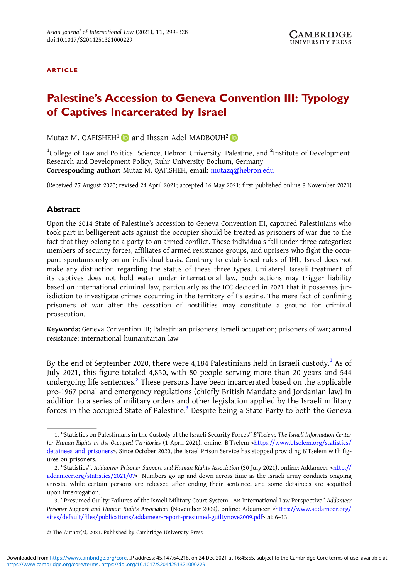# Palestine's Accession to Geneva Convention III: Typology of Captives Incarcerated by Israel

Mutaz M. QAFISHEH<sup>1</sup> in and Ihssan Adel MADBOUH<sup>2</sup> in

 $^1$ College of Law and Political Science, Hebron University, Palestine, and  $^2$ Institute of Development Research and Development Policy, Ruhr University Bochum, Germany Corresponding author: Mutaz M. QAFISHEH, email: [mutazq@hebron.edu](mailto:mutazq@hebron.edu)

(Received 27 August 2020; revised 24 April 2021; accepted 16 May 2021; first published online 8 November 2021)

# Abstract

Upon the 2014 State of Palestine's accession to Geneva Convention III, captured Palestinians who took part in belligerent acts against the occupier should be treated as prisoners of war due to the fact that they belong to a party to an armed conflict. These individuals fall under three categories: members of security forces, affiliates of armed resistance groups, and uprisers who fight the occupant spontaneously on an individual basis. Contrary to established rules of IHL, Israel does not make any distinction regarding the status of these three types. Unilateral Israeli treatment of its captives does not hold water under international law. Such actions may trigger liability based on international criminal law, particularly as the ICC decided in 2021 that it possesses jurisdiction to investigate crimes occurring in the territory of Palestine. The mere fact of confining prisoners of war after the cessation of hostilities may constitute a ground for criminal prosecution.

Keywords: Geneva Convention III; Palestinian prisoners; Israeli occupation; prisoners of war; armed resistance; international humanitarian law

By the end of September 2020, there were 4,184 Palestinians held in Israeli custody.<sup>1</sup> As of July 2021, this figure totaled 4,850, with 80 people serving more than 20 years and 544 undergoing life sentences.<sup>2</sup> These persons have been incarcerated based on the applicable pre-1967 penal and emergency regulations (chiefly British Mandate and Jordanian law) in addition to a series of military orders and other legislation applied by the Israeli military forces in the occupied State of Palestine.<sup>3</sup> Despite being a State Party to both the Geneva

<sup>1. &</sup>quot;Statistics on Palestinians in the Custody of the Israeli Security Forces" B'Tselem: The Israeli Information Center for Human Rights in the Occupied Territories (1 April 2021), online: B'Tselem [<https://www.btselem.org/statistics/](https://www.btselem.org/statistics/detainees_and_prisoners) detainees and prisoners>. Since October 2020, the Israel Prison Service has stopped providing B'Tselem with figures on prisoners.

<sup>2.</sup> "Statistics", Addameer Prisoner Support and Human Rights Association (30 July 2021), online: Addameer <[http://](http://addameer.org/statistics/2021/07) [addameer.org/statistics/2021/07>](http://addameer.org/statistics/2021/07). Numbers go up and down across time as the Israeli army conducts ongoing arrests, while certain persons are released after ending their sentence, and some detainees are acquitted upon interrogation.

<sup>3.</sup> "Presumed Guilty: Failures of the Israeli Military Court System—An International Law Perspective" Addameer Prisoner Support and Human Rights Association (November 2009), online: Addameer <[https://www.addameer.org/](https://www.addameer.org/sites/default/files/publications/addameer-report-presumed-guiltynove2009.pdf) [sites/default/files/publications/addameer-report-presumed-guiltynove2009.pdf](https://www.addameer.org/sites/default/files/publications/addameer-report-presumed-guiltynove2009.pdf)> at 6–13.

<sup>©</sup> The Author(s), 2021. Published by Cambridge University Press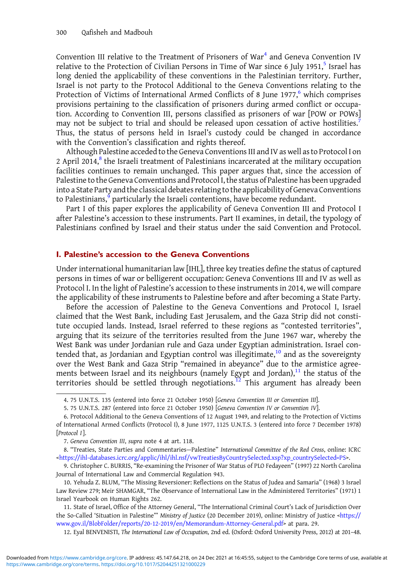Convention III relative to the Treatment of Prisoners of War<sup>4</sup> and Geneva Convention IV relative to the Protection of Civilian Persons in Time of War since 6 July 1951,<sup>5</sup> Israel has long denied the applicability of these conventions in the Palestinian territory. Further, Israel is not party to the Protocol Additional to the Geneva Conventions relating to the Protection of Victims of International Armed Conflicts of 8 June 1977, which comprises provisions pertaining to the classification of prisoners during armed conflict or occupation. According to Convention III, persons classified as prisoners of war [POW or POWs] may not be subject to trial and should be released upon cessation of active hostilities.<sup>7</sup> Thus, the status of persons held in Israel's custody could be changed in accordance with the Convention's classification and rights thereof.

Although Palestine acceded to the Geneva Conventions III and IV as well as to Protocol I on 2 April 2014, $^8$  the Israeli treatment of Palestinians incarcerated at the military occupation facilities continues to remain unchanged. This paper argues that, since the accession of Palestine to the Geneva Conventions and Protocol I, the status of Palestine has been upgraded into a State Party and the classical debates relating to the applicability of Geneva Conventions to Palestinians,<sup>9</sup> particularly the Israeli contentions, have become redundant.

Part I of this paper explores the applicability of Geneva Convention III and Protocol I after Palestine's accession to these instruments. Part II examines, in detail, the typology of Palestinians confined by Israel and their status under the said Convention and Protocol.

## I. Palestine's accession to the Geneva Conventions

Under international humanitarian law [IHL], three key treaties define the status of captured persons in times of war or belligerent occupation: Geneva Conventions III and IV as well as Protocol I. In the light of Palestine's accession to these instruments in 2014, we will compare the applicability of these instruments to Palestine before and after becoming a State Party.

Before the accession of Palestine to the Geneva Conventions and Protocol I, Israel claimed that the West Bank, including East Jerusalem, and the Gaza Strip did not constitute occupied lands. Instead, Israel referred to these regions as "contested territories", arguing that its seizure of the territories resulted from the June 1967 war, whereby the West Bank was under Jordanian rule and Gaza under Egyptian administration. Israel contended that, as Jordanian and Egyptian control was illegitimate, $10$  and as the sovereignty over the West Bank and Gaza Strip "remained in abeyance" due to the armistice agreements between Israel and its neighbours (namely Egypt and Jordan), $11$  the status of the territories should be settled through negotiations.<sup>12</sup> This argument has already been

<sup>4. 75</sup> U.N.T.S. 135 (entered into force 21 October 1950) [Geneva Convention III or Convention III].

<sup>5. 75</sup> U.N.T.S. 287 (entered into force 21 October 1950) [Geneva Convention IV or Convention IV].

<sup>6.</sup> Protocol Additional to the Geneva Conventions of 12 August 1949, and relating to the Protection of Victims of International Armed Conflicts (Protocol I), 8 June 1977, 1125 U.N.T.S. 3 (entered into force 7 December 1978) [Protocol I].

<sup>7.</sup> Geneva Convention III, supra note 4 at art. 118.

<sup>8.</sup> "Treaties, State Parties and Commentaries—Palestine" International Committee of the Red Cross, online: ICRC <[https://ihl-databases.icrc.org/applic/ihl/ihl.nsf/vwTreatiesByCountrySelected.xsp?xp\\_countrySelected=PS](https://ihl-databases.icrc.org/applic/ihl/ihl.nsf/vwTreatiesByCountrySelected.xsp?xp_countrySelected=PS)>.

<sup>9.</sup> Christopher C. BURRIS, "Re-examining the Prisoner of War Status of PLO Fedayeen" (1997) 22 North Carolina Journal of International Law and Commercial Regulation 943.

<sup>10.</sup> Yehuda Z. BLUM, "The Missing Reversioner: Reflections on the Status of Judea and Samaria" (1968) 3 Israel Law Review 279; Meir SHAMGAR, "The Observance of International Law in the Administered Territories" (1971) 1 Israel Yearbook on Human Rights 262.

<sup>11.</sup> State of Israel, Office of the Attorney General, "The International Criminal Court's Lack of Jurisdiction Over the So-Called 'Situation in Palestine'" Ministry of Justice (20 December 2019), online: Ministry of Justice [<https://](https://www.gov.il/BlobFolder/reports/20-12-2019/en/Memorandum-Attorney-General.pdf) [www.gov.il/BlobFolder/reports/20-12-2019/en/Memorandum-Attorney-General.pdf](https://www.gov.il/BlobFolder/reports/20-12-2019/en/Memorandum-Attorney-General.pdf)> at para. 29.

<sup>12.</sup> Eyal BENVENISTI, The International Law of Occupation, 2nd ed. (Oxford: Oxford University Press, 2012) at 201–48.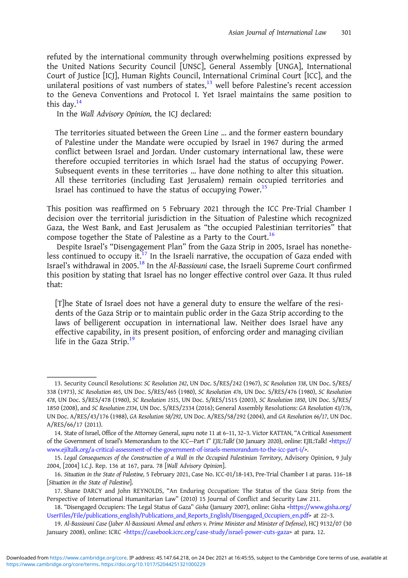refuted by the international community through overwhelming positions expressed by the United Nations Security Council [UNSC], General Assembly [UNGA], International Court of Justice [ICJ], Human Rights Council, International Criminal Court [ICC], and the unilateral positions of vast numbers of states, $13$  well before Palestine's recent accession to the Geneva Conventions and Protocol I. Yet Israel maintains the same position to this day. $14$ 

In the Wall Advisory Opinion, the ICJ declared:

The territories situated between the Green Line … and the former eastern boundary of Palestine under the Mandate were occupied by Israel in 1967 during the armed conflict between Israel and Jordan. Under customary international law, these were therefore occupied territories in which Israel had the status of occupying Power. Subsequent events in these territories … have done nothing to alter this situation. All these territories (including East Jerusalem) remain occupied territories and Israel has continued to have the status of occupying Power.<sup>15</sup>

This position was reaffirmed on 5 February 2021 through the ICC Pre-Trial Chamber I decision over the territorial jurisdiction in the Situation of Palestine which recognized Gaza, the West Bank, and East Jerusalem as "the occupied Palestinian territories" that compose together the State of Palestine as a Party to the Court.<sup>16</sup>

Despite Israel's "Disengagement Plan" from the Gaza Strip in 2005, Israel has nonetheless continued to occupy it. $^{17}$  In the Israeli narrative, the occupation of Gaza ended with Israel's withdrawal in  $2005$ .<sup>18</sup> In the Al-Bassiouni case, the Israeli Supreme Court confirmed this position by stating that Israel has no longer effective control over Gaza. It thus ruled that:

[T]he State of Israel does not have a general duty to ensure the welfare of the residents of the Gaza Strip or to maintain public order in the Gaza Strip according to the laws of belligerent occupation in international law. Neither does Israel have any effective capability, in its present position, of enforcing order and managing civilian life in the Gaza Strip. $19$ 

<sup>13.</sup> Security Council Resolutions: SC Resolution 242, UN Doc. S/RES/242 (1967), SC Resolution 338, UN Doc. S/RES/ 338 (1973), SC Resolution 465, UN Doc. S/RES/465 (1980), SC Resolution 476, UN Doc. S/RES/476 (1980), SC Resolution 478, UN Doc. S/RES/478 (1980), SC Resolution 1515, UN Doc. S/RES/1515 (2003), SC Resolution 1850, UN Doc. S/RES/ 1850 (2008), and SC Resolution 2334, UN Doc. S/RES/2334 (2016); General Assembly Resolutions: GA Resolution 43/176, UN Doc. A/RES/43/176 (1988), GA Resolution 58/292, UN Doc. A/RES/58/292 (2004), and GA Resolution 66/17, UN Doc. A/RES/66/17 (2011).

<sup>14.</sup> State of Israel, Office of the Attorney General, supra note 11 at 6–11, 32–3. Victor KATTAN, "A Critical Assessment of the Government of Israel's Memorandum to the ICC—Part I" EJIL:Talk! (30 January 2020), online: EJIL:Talk! [<https://](https://www.ejiltalk.org/a-critical-assessment-of-the-government-of-israels-memorandum-to-the-icc-part-i/) [www.ejiltalk.org/a-critical-assessment-of-the-government-of-israels-memorandum-to-the-icc-part-i/](https://www.ejiltalk.org/a-critical-assessment-of-the-government-of-israels-memorandum-to-the-icc-part-i/)>.

<sup>15.</sup> Legal Consequences of the Construction of a Wall in the Occupied Palestinian Territory, Advisory Opinion, 9 July 2004, [2004] I.C.J. Rep. 136 at 167, para. 78 [Wall Advisory Opinion].

<sup>16.</sup> Situation in the State of Palestine, 5 February 2021, Case No. ICC-01/18-143, Pre-Trial Chamber I at paras. 116–18 [Situation in the State of Palestine].

<sup>17.</sup> Shane DARCY and John REYNOLDS, "An Enduring Occupation: The Status of the Gaza Strip from the Perspective of International Humanitarian Law" (2010) 15 Journal of Conflict and Security Law 211.

<sup>18.</sup> "Disengaged Occupiers: The Legal Status of Gaza" Gisha (January 2007), online: Gisha <[https://www.gisha.org/](https://www.gisha.org/UserFiles/File/publications_english/Publications_and_Reports_English/Disengaged_Occupiers_en.pdf) [UserFiles/File/publications\\_english/Publications\\_and\\_Reports\\_English/Disengaged\\_Occupiers\\_en.pdf](https://www.gisha.org/UserFiles/File/publications_english/Publications_and_Reports_English/Disengaged_Occupiers_en.pdf)> at 22–3.

<sup>19.</sup> Al-Bassiouni Case (Jaber Al-Bassiouni Ahmed and others v. Prime Minister and Minister of Defense), HCJ 9132/07 (30 January 2008), online: ICRC <[https://casebook.icrc.org/case-study/israel-power-cuts-gaza>](https://casebook.icrc.org/case-study/israel-power-cuts-gaza) at para. 12.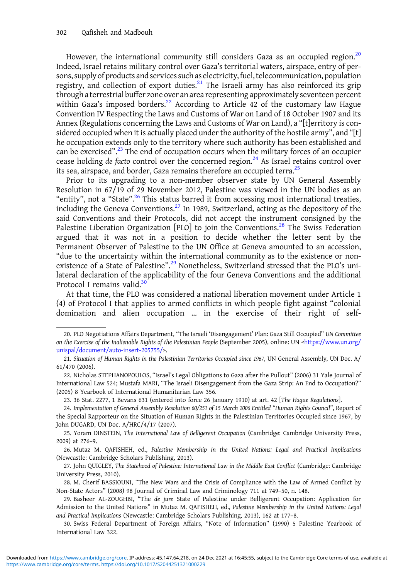However, the international community still considers Gaza as an occupied region.<sup>20</sup> Indeed, Israel retains military control over Gaza's territorial waters, airspace, entry of persons, supply of products and services such as electricity, fuel, telecommunication, population registry, and collection of export duties. $^{21}$  The Israeli army has also reinforced its grip through a terrestrial buffer zone over an area representing approximately seventeen percent within Gaza's imposed borders.<sup>22</sup> According to Article 42 of the customary law Hague Convention IV Respecting the Laws and Customs of War on Land of 18 October 1907 and its Annex (Regulations concerning the Laws and Customs of War on Land), a "[t]erritory is considered occupied when it is actually placed under the authority of the hostile army", and "[t] he occupation extends only to the territory where such authority has been established and can be exercised".<sup>23</sup> The end of occupation occurs when the military forces of an occupier cease holding de facto control over the concerned region.<sup>24</sup> As Israel retains control over its sea, airspace, and border, Gaza remains therefore an occupied terra.<sup>25</sup>

Prior to its upgrading to a non-member observer state by UN General Assembly Resolution in 67/19 of 29 November 2012, Palestine was viewed in the UN bodies as an "entity", not a "State".<sup>26</sup> This status barred it from accessing most international treaties, including the Geneva Conventions.<sup>27</sup> In 1989, Switzerland, acting as the depository of the said Conventions and their Protocols, did not accept the instrument consigned by the Palestine Liberation Organization  $[PLO]$  to join the Conventions.<sup>28</sup> The Swiss Federation argued that it was not in a position to decide whether the letter sent by the Permanent Observer of Palestine to the UN Office at Geneva amounted to an accession, "due to the uncertainty within the international community as to the existence or nonexistence of a State of Palestine".<sup>29</sup> Nonetheless, Switzerland stressed that the PLO's unilateral declaration of the applicability of the four Geneva Conventions and the additional Protocol I remains valid. $36$ 

At that time, the PLO was considered a national liberation movement under Article 1 (4) of Protocol I that applies to armed conflicts in which people fight against "colonial domination and alien occupation … in the exercise of their right of self-

<sup>20.</sup> PLO Negotiations Affairs Department, "The Israeli 'Disengagement' Plan: Gaza Still Occupied" UN Committee on the Exercise of the Inalienable Rights of the Palestinian People (September 2005), online: UN <[https://www.un.org/](https://www.un.org/unispal/document/auto-insert-205755/) [unispal/document/auto-insert-205755/](https://www.un.org/unispal/document/auto-insert-205755/)>.

<sup>21.</sup> Situation of Human Rights in the Palestinian Territories Occupied since 1967, UN General Assembly, UN Doc. A/ 61/470 (2006).

<sup>22.</sup> Nicholas STEPHANOPOULOS, "Israel's Legal Obligations to Gaza after the Pullout" (2006) 31 Yale Journal of International Law 524; Mustafa MARI, "The Israeli Disengagement from the Gaza Strip: An End to Occupation?" (2005) 8 Yearbook of International Humanitarian Law 356.

<sup>23. 36</sup> Stat. 2277, 1 Bevans 631 (entered into force 26 January 1910) at art. 42 [The Hague Regulations].

<sup>24.</sup> Implementation of General Assembly Resolution 60/251 of 15 March 2006 Entitled "Human Rights Council", Report of the Special Rapporteur on the Situation of Human Rights in the Palestinian Territories Occupied since 1967, by John DUGARD, UN Doc. A/HRC/4/17 (2007).

<sup>25.</sup> Yoram DINSTEIN, The International Law of Belligerent Occupation (Cambridge: Cambridge University Press, 2009) at 276–9.

<sup>26.</sup> Mutaz M. QAFISHEH, ed., Palestine Membership in the United Nations: Legal and Practical Implications (Newcastle: Cambridge Scholars Publishing, 2013).

<sup>27.</sup> John QUIGLEY, The Statehood of Palestine: International Law in the Middle East Conflict (Cambridge: Cambridge University Press, 2010).

<sup>28.</sup> M. Cherif BASSIOUNI, "The New Wars and the Crisis of Compliance with the Law of Armed Conflict by Non-State Actors" (2008) 98 Journal of Criminal Law and Criminology 711 at 749–50, n. 148.

<sup>29.</sup> Basheer AL-ZOUGHBI, "The de jure State of Palestine under Belligerent Occupation: Application for Admission to the United Nations" in Mutaz M. QAFISHEH, ed., Palestine Membership in the United Nations: Legal and Practical Implications (Newcastle: Cambridge Scholars Publishing, 2013), 162 at 177–8.

<sup>30.</sup> Swiss Federal Department of Foreign Affairs, "Note of Information" (1990) 5 Palestine Yearbook of International Law 322.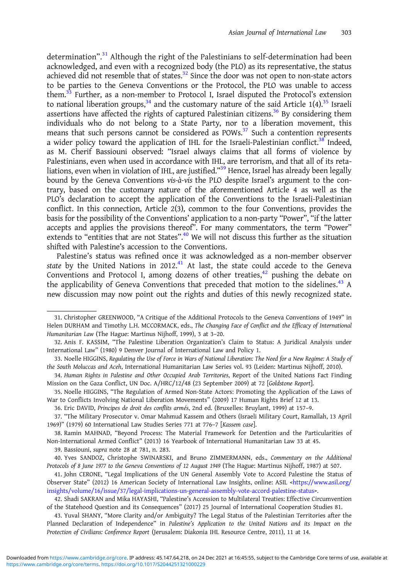determination".<sup>31</sup> Although the right of the Palestinians to self-determination had been acknowledged, and even with a recognized body (the PLO) as its representative, the status achieved did not resemble that of states. $32$  Since the door was not open to non-state actors to be parties to the Geneva Conventions or the Protocol, the PLO was unable to access them.33 Further, as a non-member to Protocol I, Israel disputed the Protocol's extension to national liberation groups,<sup>34</sup> and the customary nature of the said Article  $1(4)$ .<sup>35</sup> Israeli assertions have affected the rights of captured Palestinian citizens.<sup>36</sup> By considering them individuals who do not belong to a State Party, nor to a liberation movement, this means that such persons cannot be considered as POWs.<sup>37</sup> Such a contention represents a wider policy toward the application of IHL for the Israeli-Palestinian conflict.<sup>38</sup> Indeed, as M. Cherif Bassiouni observed: "Israel always claims that all forms of violence by Palestinians, even when used in accordance with IHL, are terrorism, and that all of its retaliations, even when in violation of IHL, are justified."<sup>39</sup> Hence, Israel has already been legally bound by the Geneva Conventions vis-à-vis the PLO despite Israel's argument to the contrary, based on the customary nature of the aforementioned Article 4 as well as the PLO's declaration to accept the application of the Conventions to the Israeli-Palestinian conflict. In this connection, Article 2(3), common to the four Conventions, provides the basis for the possibility of the Conventions' application to a non-party "Power", "if the latter accepts and applies the provisions thereof". For many commentators, the term "Power" extends to "entities that are not States".<sup>40</sup> We will not discuss this further as the situation shifted with Palestine's accession to the Conventions.

Palestine's status was refined once it was acknowledged as a non-member observer state by the United Nations in 2012.<sup>41</sup> At last, the state could accede to the Geneva Conventions and Protocol I, among dozens of other treaties, $42$  pushing the debate on the applicability of Geneva Conventions that preceded that motion to the sidelines.<sup>43</sup> A new discussion may now point out the rights and duties of this newly recognized state.

36. Eric DAVID, Principes de droit des conflits armés, 2nd ed. (Bruxelles: Bruylant, 1999) at 157–9.

38. Ramin MAHNAD, "Beyond Process: The Material Framework for Detention and the Particularities of Non-International Armed Conflict" (2013) 16 Yearbook of International Humanitarian Law 33 at 45.

39. Bassiouni, supra note 28 at 781, n. 283.

41. John CERONE, "Legal Implications of the UN General Assembly Vote to Accord Palestine the Status of Observer State" (2012) 16 American Society of International Law Insights, online: ASIL <[https://www.asil.org/](https://www.asil.org/insights/volume/16/issue/37/legal-implications-un-general-assembly-vote-accord-palestine-status) [insights/volume/16/issue/37/legal-implications-un-general-assembly-vote-accord-palestine-status>](https://www.asil.org/insights/volume/16/issue/37/legal-implications-un-general-assembly-vote-accord-palestine-status).

<sup>31.</sup> Christopher GREENWOOD, "A Critique of the Additional Protocols to the Geneva Conventions of 1949" in Helen DURHAM and Timothy L.H. MCCORMACK, eds., The Changing Face of Conflict and the Efficacy of International Humanitarian Law (The Hague: Martinus Nijhoff, 1999), 3 at 3–20.

<sup>32.</sup> Anis F. KASSIM, "The Palestine Liberation Organization's Claim to Status: A Juridical Analysis under International Law" (1980) 9 Denver Journal of International Law and Policy 1.

<sup>33.</sup> Noelle HIGGINS, Regulating the Use of Force in Wars of National Liberation: The Need for a New Regime: A Study of the South Moluccas and Aceh, International Humanitarian Law Series vol. 93 (Leiden: Martinus Nijhoff, 2010).

<sup>34.</sup> Human Rights in Palestine and Other Occupied Arab Territories, Report of the United Nations Fact Finding Mission on the Gaza Conflict, UN Doc. A/HRC/12/48 (23 September 2009) at 72 [Goldstone Report].

<sup>35.</sup> Noelle HIGGINS, "The Regulation of Armed Non-State Actors: Promoting the Application of the Laws of War to Conflicts Involving National Liberation Movements" (2009) 17 Human Rights Brief 12 at 13.

<sup>37.</sup> "The Military Prosecutor v. Omar Mahmud Kassem and Others (Israeli Military Court, Ramallah, 13 April 1969)" (1979) 60 International Law Studies Series 771 at 776–7 [Kassem case].

<sup>40.</sup> Yves SANDOZ, Christophe SWINARSKI, and Bruno ZIMMERMANN, eds., Commentary on the Additional Protocols of 8 June 1977 to the Geneva Conventions of 12 August 1949 (The Hague: Martinus Nijhoff, 1987) at 507.

<sup>42.</sup> Shadi SAKRAN and Mika HAYASHI, "Palestine's Accession to Multilateral Treaties: Effective Circumvention of the Statehood Question and its Consequences" (2017) 25 Journal of International Cooperation Studies 81.

<sup>43.</sup> Yuval SHANY, "More Clarity and/or Ambiguity? The Legal Status of the Palestinian Territories after the Planned Declaration of Independence" in Palestine's Application to the United Nations and its Impact on the Protection of Civilians: Conference Report (Jerusalem: Diakonia IHL Resource Centre, 2011), 11 at 14.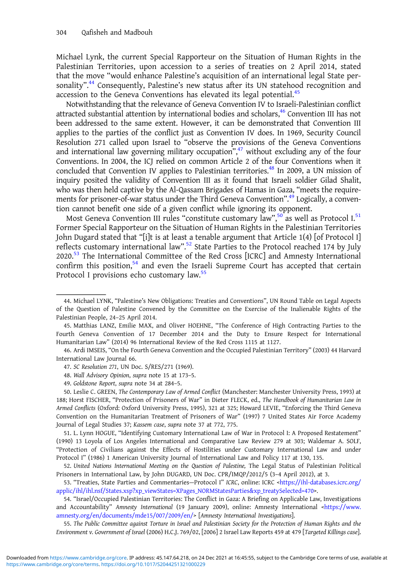Michael Lynk, the current Special Rapporteur on the Situation of Human Rights in the Palestinian Territories, upon accession to a series of treaties on 2 April 2014, stated that the move "would enhance Palestine's acquisition of an international legal State personality". <sup>44</sup> Consequently, Palestine's new status after its UN statehood recognition and accession to the Geneva Conventions has elevated its legal potential.<sup>45</sup>

Notwithstanding that the relevance of Geneva Convention IV to Israeli-Palestinian conflict attracted substantial attention by international bodies and scholars,46 Convention III has not been addressed to the same extent. However, it can be demonstrated that Convention III applies to the parties of the conflict just as Convention IV does. In 1969, Security Council Resolution 271 called upon Israel to "observe the provisions of the Geneva Conventions and international law governing military occupation",<sup>47</sup> without excluding any of the four Conventions. In 2004, the ICJ relied on common Article 2 of the four Conventions when it concluded that Convention IV applies to Palestinian territories.<sup>48</sup> In 2009, a UN mission of inquiry posited the validity of Convention III as it found that Israeli soldier Gilad Shalit, who was then held captive by the Al-Qassam Brigades of Hamas in Gaza, "meets the requirements for prisoner-of-war status under the Third Geneva Convention".<sup>49</sup> Logically, a convention cannot benefit one side of a given conflict while ignoring its opponent.

Most Geneva Convention III rules "constitute customary law",<sup>50</sup> as well as Protocol I.<sup>51</sup> Former Special Rapporteur on the Situation of Human Rights in the Palestinian Territories John Dugard stated that "[i]t is at least a tenable argument that Article 1(4) [of Protocol I] reflects customary international law".<sup>52</sup> State Parties to the Protocol reached 174 by July 2020.<sup>53</sup> The International Committee of the Red Cross [ICRC] and Amnesty International confirm this position,<sup>54</sup> and even the Israeli Supreme Court has accepted that certain Protocol I provisions echo customary law.<sup>55</sup>

55. The Public Committee against Torture in Israel and Palestinian Society for the Protection of Human Rights and the Environment v. Government of Israel (2006) H.C.J. 769/02, [2006] 2 Israel Law Reports 459 at 479 [Targeted Killings case].

<sup>44.</sup> Michael LYNK, "Palestine's New Obligations: Treaties and Conventions", UN Round Table on Legal Aspects of the Question of Palestine Convened by the Committee on the Exercise of the Inalienable Rights of the Palestinian People, 24–25 April 2014.

<sup>45.</sup> Matthias LANZ, Emilie MAX, and Oliver HOEHNE, "The Conference of High Contracting Parties to the Fourth Geneva Convention of 17 December 2014 and the Duty to Ensure Respect for International Humanitarian Law" (2014) 96 International Review of the Red Cross 1115 at 1127.

<sup>46.</sup> Ardi IMSEIS, "On the Fourth Geneva Convention and the Occupied Palestinian Territory" (2003) 44 Harvard International Law Journal 66.

<sup>47.</sup> SC Resolution 271, UN Doc. S/RES/271 (1969).

<sup>48.</sup> Wall Advisory Opinion, supra note 15 at 173–5.

<sup>49.</sup> Goldstone Report, supra note 34 at 284–5.

<sup>50.</sup> Leslie C. GREEN, The Contemporary Law of Armed Conflict (Manchester: Manchester University Press, 1993) at 188; Horst FISCHER, "Protection of Prisoners of War" in Dieter FLECK, ed., The Handbook of Humanitarian Law in Armed Conflicts (Oxford: Oxford University Press, 1995), 321 at 325; Howard LEVIE, "Enforcing the Third Geneva Convention on the Humanitarian Treatment of Prisoners of War" (1997) 7 United States Air Force Academy Journal of Legal Studies 37; Kassem case, supra note 37 at 772, 775.

<sup>51.</sup> L. Lynn HOGUE, "Identifying Customary International Law of War in Protocol I: A Proposed Restatement" (1990) 13 Loyola of Los Angeles International and Comparative Law Review 279 at 303; Waldemar A. SOLF, "Protection of Civilians against the Effects of Hostilities under Customary International Law and under Protocol I" (1986) 1 American University Journal of International Law and Policy 117 at 130, 135.

<sup>52.</sup> United Nations International Meeting on the Question of Palestine, The Legal Status of Palestinian Political Prisoners in International Law, by John DUGARD, UN Doc. CPR/IMQP/2012/5 (3–4 April 2012), at 3.

<sup>53.</sup> "Treaties, State Parties and Commentaries—Protocol I" ICRC, online: ICRC [<https://ihl-databases.icrc.org/](https://ihl-databases.icrc.org/applic/ihl/ihl.nsf/States.xsp?xp_viewStates=XPages_NORMStatesParties&xp_treatySelected=470) [applic/ihl/ihl.nsf/States.xsp?xp\\_viewStates=XPages\\_NORMStatesParties&xp\\_treatySelected=470](https://ihl-databases.icrc.org/applic/ihl/ihl.nsf/States.xsp?xp_viewStates=XPages_NORMStatesParties&xp_treatySelected=470)>.

<sup>54.</sup> "Israel/Occupied Palestinian Territories: The Conflict in Gaza: A Briefing on Applicable Law, Investigations and Accountability" Amnesty International (19 January 2009), online: Amnesty International [<https://www.](https://www.amnesty.org/en/documents/mde15/007/2009/en/) [amnesty.org/en/documents/mde15/007/2009/en/>](https://www.amnesty.org/en/documents/mde15/007/2009/en/) [Amnesty International Investigations].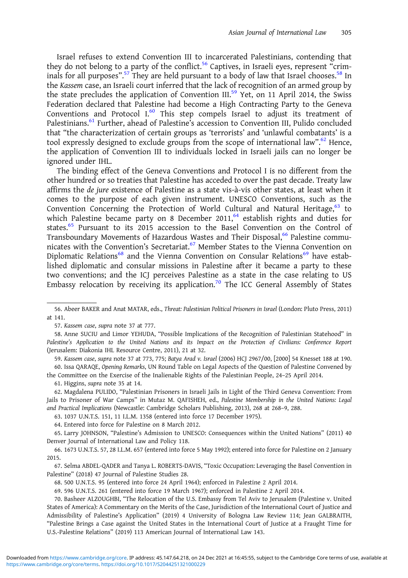Israel refuses to extend Convention III to incarcerated Palestinians, contending that they do not belong to a party of the conflict.<sup>56</sup> Captives, in Israeli eyes, represent "criminals for all purposes".<sup>57</sup> They are held pursuant to a body of law that Israel chooses.<sup>58</sup> In the Kassem case, an Israeli court inferred that the lack of recognition of an armed group by the state precludes the application of Convention III.<sup>59</sup> Yet, on 11 April 2014, the Swiss Federation declared that Palestine had become a High Contracting Party to the Geneva Conventions and Protocol I. $^{60}$  This step compels Israel to adjust its treatment of Palestinians.<sup>61</sup> Further, ahead of Palestine's accession to Convention III, Pulido concluded that "the characterization of certain groups as 'terrorists' and 'unlawful combatants' is a tool expressly designed to exclude groups from the scope of international law".<sup>62</sup> Hence, the application of Convention III to individuals locked in Israeli jails can no longer be ignored under IHL.

The binding effect of the Geneva Conventions and Protocol I is no different from the other hundred or so treaties that Palestine has acceded to over the past decade. Treaty law affirms the de jure existence of Palestine as a state vis-à-vis other states, at least when it comes to the purpose of each given instrument. UNESCO Conventions, such as the Convention Concerning the Protection of World Cultural and Natural Heritage, $63$  to which Palestine became party on 8 December 2011, $64$  establish rights and duties for states.<sup>65</sup> Pursuant to its 2015 accession to the Basel Convention on the Control of Transboundary Movements of Hazardous Wastes and Their Disposal,<sup>66</sup> Palestine communicates with the Convention's Secretariat.<sup>67</sup> Member States to the Vienna Convention on Diplomatic Relations<sup>68</sup> and the Vienna Convention on Consular Relations<sup>69</sup> have established diplomatic and consular missions in Palestine after it became a party to these two conventions; and the ICJ perceives Palestine as a state in the case relating to US Embassy relocation by receiving its application.<sup>70</sup> The ICC General Assembly of States

the Committee on the Exercise of the Inalienable Rights of the Palestinian People, 24–25 April 2014.

61. Higgins, supra note 35 at 14.

62. Magdalena PULIDO, "Palestinian Prisoners in Israeli Jails in Light of the Third Geneva Convention: From Jails to Prisoner of War Camps" in Mutaz M. QAFISHEH, ed., Palestine Membership in the United Nations: Legal and Practical Implications (Newcastle: Cambridge Scholars Publishing, 2013), 268 at 268–9, 288.

63. 1037 U.N.T.S. 151, 11 I.L.M. 1358 (entered into force 17 December 1975).

64. Entered into force for Palestine on 8 March 2012.

65. Larry JOHNSON, "Palestine's Admission to UNESCO: Consequences within the United Nations" (2011) 40 Denver Journal of International Law and Policy 118.

66. 1673 U.N.T.S. 57, 28 I.L.M. 657 (entered into force 5 May 1992); entered into force for Palestine on 2 January 2015.

67. Selma ABDEL-QADER and Tanya L. ROBERTS-DAVIS, "Toxic Occupation: Leveraging the Basel Convention in Palestine" (2018) 47 Journal of Palestine Studies 28.

68. 500 U.N.T.S. 95 (entered into force 24 April 1964); enforced in Palestine 2 April 2014.

69. 596 U.N.T.S. 261 (entered into force 19 March 1967); enforced in Palestine 2 April 2014.

70. Basheer ALZOUGHBI, "The Relocation of the U.S. Embassy from Tel Aviv to Jerusalem (Palestine v. United States of America): A Commentary on the Merits of the Case, Jurisdiction of the International Court of Justice and Admissibility of Palestine's Application" (2019) 4 University of Bologna Law Review 114; Jean GALBRAITH, "Palestine Brings a Case against the United States in the International Court of Justice at a Fraught Time for U.S.-Palestine Relations" (2019) 113 American Journal of International Law 143.

<sup>56.</sup> Abeer BAKER and Anat MATAR, eds., Threat: Palestinian Political Prisoners in Israel (London: Pluto Press, 2011) at 141.

<sup>57.</sup> Kassem case, supra note 37 at 777.

<sup>58.</sup> Anne SUCIU and Limor YEHUDA, "Possible Implications of the Recognition of Palestinian Statehood" in Palestine's Application to the United Nations and its Impact on the Protection of Civilians: Conference Report (Jerusalem: Diakonia IHL Resource Centre, 2011), 21 at 32.

<sup>59.</sup> Kassem case, supra note 37 at 773, 775; Batya Arad v. Israel (2006) HCJ 2967/00, [2000] 54 Knesset 188 at 190. 60. Issa QARAQE, Opening Remarks, UN Round Table on Legal Aspects of the Question of Palestine Convened by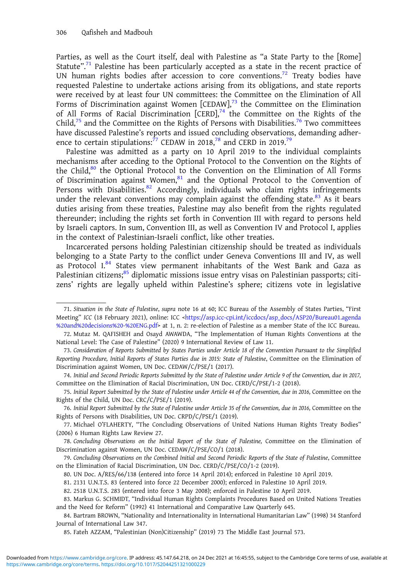Parties, as well as the Court itself, deal with Palestine as "a State Party to the [Rome] Statute".<sup>71</sup> Palestine has been particularly accepted as a state in the recent practice of UN human rights bodies after accession to core conventions.<sup>72</sup> Treaty bodies have requested Palestine to undertake actions arising from its obligations, and state reports were received by at least four UN committees: the Committee on the Elimination of All Forms of Discrimination against Women  $[CEDAW]$ ,<sup>73</sup> the Committee on the Elimination of All Forms of Racial Discrimination  $[CERD]$ <sup>74</sup> the Committee on the Rights of the Child, $75$  and the Committee on the Rights of Persons with Disabilities.<sup>76</sup> Two committees have discussed Palestine's reports and issued concluding observations, demanding adherence to certain stipulations: $^{77}$  CEDAW in 2018,<sup>78</sup> and CERD in 2019.<sup>79</sup>

Palestine was admitted as a party on 10 April 2019 to the individual complaints mechanisms after acceding to the Optional Protocol to the Convention on the Rights of the Child, $80$  the Optional Protocol to the Convention on the Elimination of All Forms of Discrimination against Women,<sup>81</sup> and the Optional Protocol to the Convention of Persons with Disabilities. $82$  Accordingly, individuals who claim rights infringements under the relevant conventions may complain against the offending state. $83$  As it bears duties arising from these treaties, Palestine may also benefit from the rights regulated thereunder; including the rights set forth in Convention III with regard to persons held by Israeli captors. In sum, Convention III, as well as Convention IV and Protocol I, applies in the context of Palestinian-Israeli conflict, like other treaties.

Incarcerated persons holding Palestinian citizenship should be treated as individuals belonging to a State Party to the conflict under Geneva Conventions III and IV, as well as Protocol I.<sup>84</sup> States view permanent inhabitants of the West Bank and Gaza as Palestinian citizens;<sup>85</sup> diplomatic missions issue entry visas on Palestinian passports; citizens' rights are legally upheld within Palestine's sphere; citizens vote in legislative

79. Concluding Observations on the Combined Initial and Second Periodic Reports of the State of Palestine, Committee on the Elimination of Racial Discrimination, UN Doc. CERD/C/PSE/CO/1-2 (2019).

<sup>71.</sup> Situation in the State of Palestine, supra note 16 at 60; ICC Bureau of the Assembly of States Parties, "First Meeting" ICC (18 February 2021), online: ICC <[https://asp.icc-cpi.int/iccdocs/asp\\_docs/ASP20/Bureau01.agenda](https://asp.icc-cpi.int/iccdocs/asp_docs/ASP20/Bureau01.agenda%20and%20decisions%20-%20ENG.pdf) [%20and%20decisions%20-%20ENG.pdf](https://asp.icc-cpi.int/iccdocs/asp_docs/ASP20/Bureau01.agenda%20and%20decisions%20-%20ENG.pdf)> at 1, n. 2: re-election of Palestine as a member State of the ICC Bureau.

<sup>72.</sup> Mutaz M. QAFISHEH and Osayd AWAWDA, "The Implementation of Human Rights Conventions at the National Level: The Case of Palestine" (2020) 9 International Review of Law 11.

<sup>73.</sup> Consideration of Reports Submitted by States Parties under Article 18 of the Convention Pursuant to the Simplified Reporting Procedure, Initial Reports of States Parties due in 2015: State of Palestine, Committee on the Elimination of Discrimination against Women, UN Doc. CEDAW/C/PSE/1 (2017).

<sup>74.</sup> Initial and Second Periodic Reports Submitted by the State of Palestine under Article 9 of the Convention, due in 2017, Committee on the Elimination of Racial Discrimination, UN Doc. CERD/C/PSE/1-2 (2018).

<sup>75.</sup> Initial Report Submitted by the State of Palestine under Article 44 of the Convention, due in 2016, Committee on the Rights of the Child, UN Doc. CRC/C/PSE/1 (2019).

<sup>76.</sup> Initial Report Submitted by the State of Palestine under Article 35 of the Convention, due in 2016, Committee on the Rights of Persons with Disabilities, UN Doc. CRPD/C/PSE/1 (2019).

<sup>77.</sup> Michael O'FLAHERTY, "The Concluding Observations of United Nations Human Rights Treaty Bodies" (2006) 6 Human Rights Law Review 27.

<sup>78.</sup> Concluding Observations on the Initial Report of the State of Palestine, Committee on the Elimination of Discrimination against Women, UN Doc. CEDAW/C/PSE/CO/1 (2018).

<sup>80.</sup> UN Doc. A/RES/66/138 (entered into force 14 April 2014); enforced in Palestine 10 April 2019.

<sup>81. 2131</sup> U.N.T.S. 83 (entered into force 22 December 2000); enforced in Palestine 10 April 2019.

<sup>82. 2518</sup> U.N.T.S. 283 (entered into force 3 May 2008); enforced in Palestine 10 April 2019.

<sup>83.</sup> Markus G. SCHMID[T,](https://heinonline-org.ezp.lib.unimelb.edu.au/HOL/LuceneSearch?specialcollection=iflpmetadata&typea=author&termsa=%22Schmidt,%20M.G.%20%22&operator=AND&typeb=journal&termsb=&operatorb=AND&typec=title&termsc=&yearlo=&yearhi=&sortby=relevance&only_vol=&collection=iflp&collection_true=iflp&searchtype=field&submit=Search§ions=any) "Individual Human Rights Complaints Procedures Based on United Nations Treaties and the Need for Reform" (1992) 41 International and Comparative Law Quarterly 645.

<sup>84.</sup> Bartram BROWN, "Nationality and Internationality in International Humanitarian Law" (1998) 34 Stanford Journal of International Law 347.

<sup>85.</sup> Fateh AZZAM, "Palestinian (Non)Citizenship" (2019) 73 The Middle East Journal 573.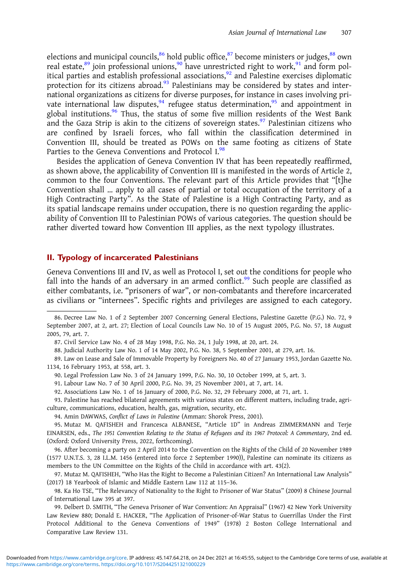elections and municipal councils, $8^6$  hold public office, $8^7$  become ministers or judges, $8^8$  own real estate,<sup>89</sup> join professional unions,<sup>90</sup> have unrestricted right to work,<sup>91</sup> and form political parties and establish professional associations,<sup>92</sup> and Palestine exercises diplomatic protection for its citizens abroad. $93$  Palestinians may be considered by states and international organizations as citizens for diverse purposes, for instance in cases involving private international law disputes, <sup>94</sup> refugee status determination,<sup>95</sup> and appointment in global institutions.<sup>96</sup> Thus, the status of some five million residents of the West Bank and the Gaza Strip is akin to the citizens of sovereign states. $97$  Palestinian citizens who are confined by Israeli forces, who fall within the classification determined in Convention III, should be treated as POWs on the same footing as citizens of State Parties to the Geneva Conventions and Protocol I.<sup>98</sup>

Besides the application of Geneva Convention IV that has been repeatedly reaffirmed, as shown above, the applicability of Convention III is manifested in the words of Article 2, common to the four Conventions. The relevant part of this Article provides that "[t]he Convention shall … apply to all cases of partial or total occupation of the territory of a High Contracting Party". As the State of Palestine is a High Contracting Party, and as its spatial landscape remains under occupation, there is no question regarding the applicability of Convention III to Palestinian POWs of various categories. The question should be rather diverted toward how Convention III applies, as the next typology illustrates.

## II. Typology of incarcerated Palestinians

Geneva Conventions III and IV, as well as Protocol I, set out the conditions for people who fall into the hands of an adversary in an armed conflict.<sup>99</sup> Such people are classified as either combatants, i.e. "prisoners of war", or non-combatants and therefore incarcerated as civilians or "internees". Specific rights and privileges are assigned to each category.

89. Law on Lease and Sale of Immovable Property by Foreigners No. 40 of 27 January 1953, Jordan Gazette No. 1134, 16 February 1953, at 558, art. 3.

90. Legal Profession Law No. 3 of 24 January 1999, P.G. No. 30, 10 October 1999, at 5, art. 3.

91. Labour Law No. 7 of 30 April 2000, P.G. No. 39, 25 November 2001, at 7, art. 14.

92. Associations Law No. 1 of 16 January of 2000, P.G. No. 32, 29 February 2000, at 71, art. 1.

93. Palestine has reached bilateral agreements with various states on different matters, including trade, agriculture, communications, education, health, gas, migration, security, etc.

94. Amin DAWWAS, Conflict of Laws in Palestine (Amman: Shorok Press, 2001).

95. Mutaz M. QAFISHEH and Francesca ALBANESE, "Article 1D" in Andreas ZIMMERMANN and Terje EINARSEN, eds., The 1951 Convention Relating to the Status of Refugees and its 1967 Protocol: A Commentary, 2nd ed. (Oxford: Oxford University Press, 2022, forthcoming).

96. After becoming a party on 2 April 2014 to the Convention on the Rights of the Child of 20 November 1989 (1577 U.N.T.S. 3, 28 I.L.M. 1456 (entered into force 2 September 1990)), Palestine can nominate its citizens as members to the UN Committee on the Rights of the Child in accordance with art. 43(2).

97. Mutaz M. QAFISHEH, "Who Has the Right to Become a Palestinian Citizen? An International Law Analysis" (2017) 18 Yearbook of Islamic and Middle Eastern Law 112 at 115–36.

98. Ka Ho TSE, "The Relevancy of Nationality to the Right to Prisoner of War Status" (2009) 8 Chinese Journal of International Law 395 at 397.

99. Delbert D. SMITH, "The Geneva Prisoner of War Convention: An Appraisal" (1967) 42 New York University Law Review 880; Donald E. HACKER, "The Application of Prisoner-of-War Status to Guerrillas Under the First Protocol Additional to the Geneva Conventions of 1949" (1978) 2 Boston College International and Comparative Law Review 131.

<sup>86.</sup> Decree Law No. 1 of 2 September 2007 Concerning General Elections, Palestine Gazette (P.G.) No. 72, 9 September 2007, at 2, art. 27; Election of Local Councils Law No. 10 of 15 August 2005, P.G. No. 57, 18 August 2005, 79, art. 7.

<sup>87.</sup> Civil Service Law No. 4 of 28 May 1998, P.G. No. 24, 1 July 1998, at 20, art. 24.

<sup>88.</sup> Judicial Authority Law No. 1 of 14 May 2002, P.G. No. 38, 5 September 2001, at 279, art. 16.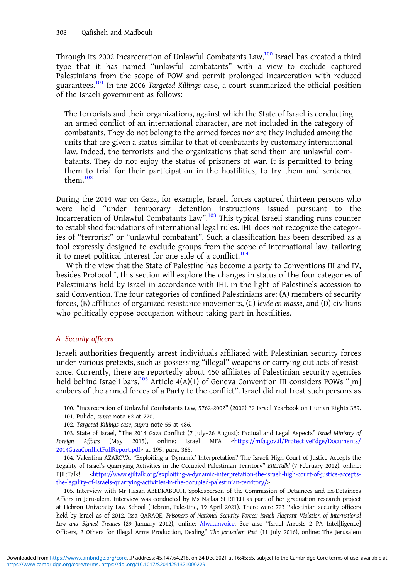Through its 2002 Incarceration of Unlawful Combatants Law, $100$  Israel has created a third type that it has named "unlawful combatants" with a view to exclude captured Palestinians from the scope of POW and permit prolonged incarceration with reduced guarantees.<sup>101</sup> In the 2006 Targeted Killings case, a court summarized the official position of the Israeli government as follows:

The terrorists and their organizations, against which the State of Israel is conducting an armed conflict of an international character, are not included in the category of combatants. They do not belong to the armed forces nor are they included among the units that are given a status similar to that of combatants by customary international law. Indeed, the terrorists and the organizations that send them are unlawful combatants. They do not enjoy the status of prisoners of war. It is permitted to bring them to trial for their participation in the hostilities, to try them and sentence them.<sup>102</sup>

During the 2014 war on Gaza, for example, Israeli forces captured thirteen persons who were held "under temporary detention instructions issued pursuant to the Incarceration of Unlawful Combatants Law".<sup>103</sup> This typical Israeli standing runs counter to established foundations of international legal rules. IHL does not recognize the categories of "terrorist" or "unlawful combatant". Such a classification has been described as a tool expressly designed to exclude groups from the scope of international law, tailoring it to meet political interest for one side of a conflict.<sup>104</sup>

With the view that the State of Palestine has become a party to Conventions III and IV, besides Protocol I, this section will explore the changes in status of the four categories of Palestinians held by Israel in accordance with IHL in the light of Palestine's accession to said Convention. The four categories of confined Palestinians are: (A) members of security forces, (B) affiliates of organized resistance movements, (C) levée en masse, and (D) civilians who politically oppose occupation without taking part in hostilities.

# A. Security officers

Israeli authorities frequently arrest individuals affiliated with Palestinian security forces under various pretexts, such as possessing "illegal" weapons or carrying out acts of resistance. Currently, there are reportedly about 450 affiliates of Palestinian security agencies held behind Israeli bars.<sup>105</sup> Article  $4(A)(1)$  of Geneva Convention III considers POWs "[m] embers of the armed forces of a Party to the conflict". Israel did not treat such persons as

<sup>100.</sup> "Incarceration of Unlawful Combatants Law, 5762-2002" (2002) 32 Israel Yearbook on Human Rights 389. 101. Pulido, supra note 62 at 270.

<sup>102.</sup> Targeted Killings case, supra note 55 at 486.

<sup>103.</sup> State of Israel, "The 2014 Gaza Conflict (7 July–26 August): Factual and Legal Aspects" Israel Ministry of Foreign Affairs (May 2015), online: Israel MFA <[https://mfa.gov.il/ProtectiveEdge/Documents/](https://mfa.gov.il/ProtectiveEdge/Documents/2014GazaConflictFullReport.pdf) [2014GazaConflictFullReport.pdf>](https://mfa.gov.il/ProtectiveEdge/Documents/2014GazaConflictFullReport.pdf) at 195, para. 365.

<sup>104.</sup> Valentina AZAROVA, "Exploiting a 'Dynamic' Interpretation? The Israeli High Court of Justice Accepts the Legality of Israel's Quarrying Activities in the Occupied Palestinian Territory" EJIL:Talk! (7 February 2012), online: EJIL:Talk! [<https://www.ejiltalk.org/exploiting-a-dynamic-interpretation-the-israeli-high-court-of-justice-accepts](https://www.ejiltalk.org/exploiting-a-dynamic-interpretation-the-israeli-high-court-of-justice-accepts-the-legality-of-israels-quarrying-activities-in-the-occupied-palestinian-territory/)[the-legality-of-israels-quarrying-activities-in-the-occupied-palestinian-territory/](https://www.ejiltalk.org/exploiting-a-dynamic-interpretation-the-israeli-high-court-of-justice-accepts-the-legality-of-israels-quarrying-activities-in-the-occupied-palestinian-territory/)>.

<sup>105.</sup> Interview with Mr Hasan ABEDRABOUH, Spokesperson of the Commission of Detainees and Ex-Detainees Affairs in Jerusalem. Interview was conducted by Ms Najlaa SHRITEH as part of her graduation research project at Hebron University Law School (Hebron, Palestine, 19 April 2021). There were 723 Palestinian security officers held by Israel as of 2012. Issa QARAQE, Prisoners of National Security Forces: Israeli Flagrant Violation of International Law and Signed Treaties (29 January 2012), online: [Alwatanvoice.](https://www.alwatanvoice.com/arabic/content/print/242914.html) See also "Israel Arrests 2 PA Intel[ligence] Officers, 2 Others for Illegal Arms Production, Dealing" The Jerusalem Post (11 July 2016), online: The Jerusalem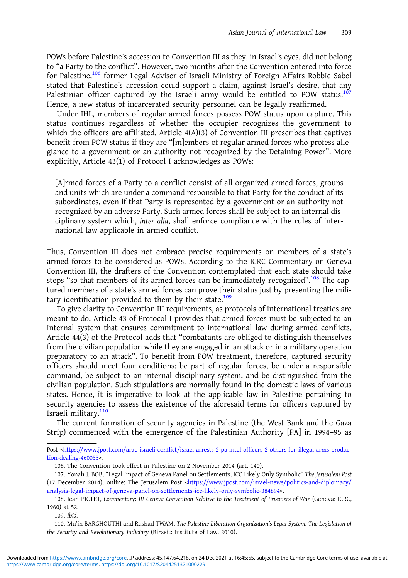POWs before Palestine's accession to Convention III as they, in Israel's eyes, did not belong to "a Party to the conflict". However, two months after the Convention entered into force for Palestine,<sup>106</sup> former Legal Adviser of Israeli Ministry of Foreign Affairs Robbie Sabel stated that Palestine's accession could support a claim, against Israel's desire, that any Palestinian officer captured by the Israeli army would be entitled to POW status.<sup>107</sup> Hence, a new status of incarcerated security personnel can be legally reaffirmed.

Under IHL, members of regular armed forces possess POW status upon capture. This status continues regardless of whether the occupier recognizes the government to which the officers are affiliated. Article  $4(A)(3)$  of Convention III prescribes that captives benefit from POW status if they are "[m]embers of regular armed forces who profess allegiance to a government or an authority not recognized by the Detaining Power". More explicitly, Article 43(1) of Protocol I acknowledges as POWs:

[A]rmed forces of a Party to a conflict consist of all organized armed forces, groups and units which are under a command responsible to that Party for the conduct of its subordinates, even if that Party is represented by a government or an authority not recognized by an adverse Party. Such armed forces shall be subject to an internal disciplinary system which, inter alia, shall enforce compliance with the rules of international law applicable in armed conflict.

Thus, Convention III does not embrace precise requirements on members of a state's armed forces to be considered as POWs. According to the ICRC Commentary on Geneva Convention III, the drafters of the Convention contemplated that each state should take steps "so that members of its armed forces can be immediately recognized".<sup>108</sup> The captured members of a state's armed forces can prove their status just by presenting the military identification provided to them by their state.<sup>109</sup>

To give clarity to Convention III requirements, as protocols of international treaties are meant to do, Article 43 of Protocol I provides that armed forces must be subjected to an internal system that ensures commitment to international law during armed conflicts. Article 44(3) of the Protocol adds that "combatants are obliged to distinguish themselves from the civilian population while they are engaged in an attack or in a military operation preparatory to an attack". To benefit from POW treatment, therefore, captured security officers should meet four conditions: be part of regular forces, be under a responsible command, be subject to an internal disciplinary system, and be distinguished from the civilian population. Such stipulations are normally found in the domestic laws of various states. Hence, it is imperative to look at the applicable law in Palestine pertaining to security agencies to assess the existence of the aforesaid terms for officers captured by Israeli military.<sup>110</sup>

The current formation of security agencies in Palestine (the West Bank and the Gaza Strip) commenced with the emergence of the Palestinian Authority [PA] in 1994–95 as

109. Ibid.

110. Mu'in BARGHOUTHI and Rashad TWAM, The Palestine Liberation Organization's Legal System: The Legislation of the Security and Revolutionary Judiciary (Birzeit: Institute of Law, 2010).

Post [<https://www.jpost.com/arab-israeli-conflict/israel-arrests-2-pa-intel-officers-2-others-for-illegal-arms-produc](https://www.jpost.com/arab-israeli-conflict/israel-arrests-2-pa-intel-officers-2-others-for-illegal-arms-production-dealing-460055)[tion-dealing-460055](https://www.jpost.com/arab-israeli-conflict/israel-arrests-2-pa-intel-officers-2-others-for-illegal-arms-production-dealing-460055)>.

<sup>106.</sup> The Convention took effect in Palestine on 2 November 2014 (art. 140).

<sup>107.</sup> Yonah J. BOB, "Legal Impact of Geneva Panel on Settlements, ICC Likely Only Symbolic" The Jerusalem Post (17 December 2014), online: The Jerusalem Post [<https://www.jpost.com/israel-news/politics-and-diplomacy/](https://www.jpost.com/israel-news/politics-and-diplomacy/analysis-legal-impact-of-geneva-panel-on-settlements-icc-likely-only-symbolic-384894) [analysis-legal-impact-of-geneva-panel-on-settlements-icc-likely-only-symbolic-384894](https://www.jpost.com/israel-news/politics-and-diplomacy/analysis-legal-impact-of-geneva-panel-on-settlements-icc-likely-only-symbolic-384894)>.

<sup>108.</sup> Jean PICTET, Commentary: III Geneva Convention Relative to the Treatment of Prisoners of War (Geneva: ICRC, 1960) at 52.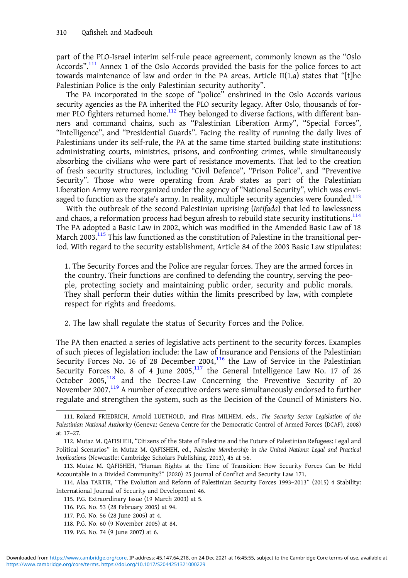part of the PLO-Israel interim self-rule peace agreement, commonly known as the "Oslo Accords".<sup>111</sup> Annex 1 of the Oslo Accords provided the basis for the police forces to act towards maintenance of law and order in the PA areas. Article II(1.a) states that "[t]he Palestinian Police is the only Palestinian security authority".

The PA incorporated in the scope of "police" enshrined in the Oslo Accords various security agencies as the PA inherited the PLO security legacy. After Oslo, thousands of former PLO fighters returned home.<sup>112</sup> They belonged to diverse factions, with different banners and command chains, such as "Palestinian Liberation Army", "Special Forces", "Intelligence", and "Presidential Guards". Facing the reality of running the daily lives of Palestinians under its self-rule, the PA at the same time started building state institutions: administrating courts, ministries, prisons, and confronting crimes, while simultaneously absorbing the civilians who were part of resistance movements. That led to the creation of fresh security structures, including "Civil Defence", "Prison Police", and "Preventive Security". Those who were operating from Arab states as part of the Palestinian Liberation Army were reorganized under the agency of "National Security", which was envisaged to function as the state's army. In reality, multiple security agencies were founded. $113$ 

With the outbreak of the second Palestinian uprising (Intifada) that led to lawlessness and chaos, a reformation process had begun afresh to rebuild state security institutions.<sup>114</sup> The PA adopted a Basic Law in 2002, which was modified in the Amended Basic Law of 18 March 2003.<sup>115</sup> This law functioned as the constitution of Palestine in the transitional period. With regard to the security establishment, Article 84 of the 2003 Basic Law stipulates:

1. The Security Forces and the Police are regular forces. They are the armed forces in the country. Their functions are confined to defending the country, serving the people, protecting society and maintaining public order, security and public morals. They shall perform their duties within the limits prescribed by law, with complete respect for rights and freedoms.

2. The law shall regulate the status of Security Forces and the Police.

The PA then enacted a series of legislative acts pertinent to the security forces. Examples of such pieces of legislation include: the Law of Insurance and Pensions of the Palestinian Security Forces No. 16 of 28 December 2004, $116$  the Law of Service in the Palestinian Security Forces No. 8 of 4 June  $2005$ ,  $117$  the General Intelligence Law No. 17 of 26 October 2005,<sup>118</sup> and the Decree-Law Concerning the Preventive Security of 20 November 2007.<sup>119</sup> A number of executive orders were simultaneously endorsed to further regulate and strengthen the system, such as the Decision of the Council of Ministers No.

<sup>111.</sup> Roland FRIEDRICH, Arnold LUETHOLD, and Firas MILHEM, eds., The Security Sector Legislation of the Palestinian National Authority (Geneva: Geneva Centre for the Democratic Control of Armed Forces (DCAF), 2008) at 17–27.

<sup>112.</sup> Mutaz M. QAFISHEH, "Citizens of the State of Palestine and the Future of Palestinian Refugees: Legal and Political Scenarios" in Mutaz M. QAFISHEH, ed., Palestine Membership in the United Nations: Legal and Practical Implications (Newcastle: Cambridge Scholars Publishing, 2013), 45 at 56.

<sup>113.</sup> Mutaz M. QAFISHEH, "Human Rights at the Time of Transition: How Security Forces Can be Held Accountable in a Divided Community?" (2020) 25 Journal of Conflict and Security Law 171.

<sup>114.</sup> Alaa TARTIR, "The Evolution and Reform of Palestinian Security Forces 1993–2013" (2015) 4 Stability: International Journal of Security and Development 46.

<sup>115.</sup> P.G. Extraordinary Issue (19 March 2003) at 5.

<sup>116.</sup> P.G. No. 53 (28 February 2005) at 94.

<sup>117.</sup> P.G. No. 56 (28 June 2005) at 4.

<sup>118.</sup> P.G. No. 60 (9 November 2005) at 84.

<sup>119.</sup> P.G. No. 74 (9 June 2007) at 6.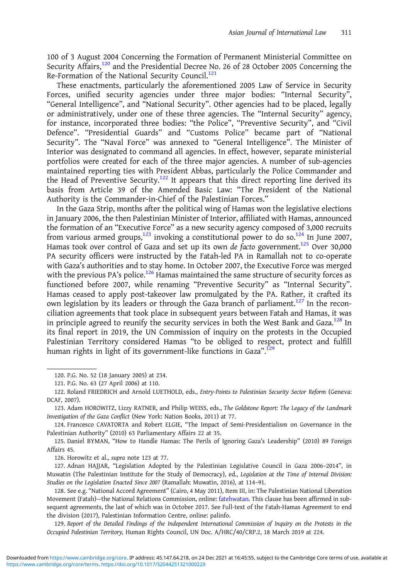100 of 3 August 2004 Concerning the Formation of Permanent Ministerial Committee on Security Affairs,<sup>120</sup> and the Presidential Decree No. 26 of 28 October 2005 Concerning the Re-Formation of the National Security Council.<sup>121</sup>

These enactments, particularly the aforementioned 2005 Law of Service in Security Forces, unified security agencies under three major bodies: "Internal Security", "General Intelligence", and "National Security". Other agencies had to be placed, legally or administratively, under one of these three agencies. The "Internal Security" agency, for instance, incorporated three bodies: "the Police", "Preventive Security", and "Civil Defence". "Presidential Guards" and "Customs Police" became part of "National Security". The "Naval Force" was annexed to "General Intelligence". The Minister of Interior was designated to command all agencies. In effect, however, separate ministerial portfolios were created for each of the three major agencies. A number of sub-agencies maintained reporting ties with President Abbas, particularly the Police Commander and the Head of Preventive Security.<sup>122</sup> It appears that this direct reporting line derived its basis from Article 39 of the Amended Basic Law: "The President of the National Authority is the Commander-in-Chief of the Palestinian Forces."

In the Gaza Strip, months after the political wing of Hamas won the legislative elections in January 2006, the then Palestinian Minister of Interior, affiliated with Hamas, announced the formation of an "Executive Force" as a new security agency composed of 3,000 recruits from various armed groups,<sup>123</sup> invoking a constitutional power to do so.<sup>124</sup> In June 2007, Hamas took over control of Gaza and set up its own de facto government.<sup>125</sup> Over 30,000 PA security officers were instructed by the Fatah-led PA in Ramallah not to co-operate with Gaza's authorities and to stay home. In October 2007, the Executive Force was merged with the previous PA's police.<sup>126</sup> Hamas maintained the same structure of security forces as functioned before 2007, while renaming "Preventive Security" as "Internal Security". Hamas ceased to apply post-takeover law promulgated by the PA. Rather, it crafted its own legislation by its leaders or through the Gaza branch of parliament.<sup>127</sup> In the reconciliation agreements that took place in subsequent years between Fatah and Hamas, it was in principle agreed to reunify the security services in both the West Bank and Gaza.<sup>128</sup> In its final report in 2019, the UN Commission of inquiry on the protests in the Occupied Palestinian Territory considered Hamas "to be obliged to respect, protect and fulfill human rights in light of its government-like functions in Gaza".<sup>129</sup>

123. Adam HOROWITZ, Lizzy RATNER, and Philip WEISS, eds., The Goldstone Report: The Legacy of the Landmark Investigation of the Gaza Conflict (New York: Nation Books, 2011) at 77.

124. Francesco CAVATORTA and Robert ELGIE, "The Impact of Semi-Presidentialism on Governance in the Palestinian Authority" (2010) 63 Parliamentary Affairs 22 at 35.

125. Daniel BYMAN, "How to Handle Hamas: The Perils of Ignoring Gaza's Leadership" (2010) 89 Foreign Affairs 45.

126. Horowitz et al., supra note 123 at 77.

127. Adnan HAJJAR, "Legislation Adopted by the Palestinian Legislative Council in Gaza 2006–2014", in Muwatin (The Palestinian Institute for the Study of Democracy), ed., Legislation at the Time of Internal Division: Studies on the Legislation Enacted Since 2007 (Ramallah: Muwatin, 2016), at 114–91.

128. See e.g. "National Accord Agreement" (Cairo, 4 May 2011), Item III, in: The Palestinian National Liberation Movement (Fatah)—the National Relations Commission, online: [fatehwatan.](https://www.fatehwatan.ps/) This clause has been affirmed in subsequent agreements, the last of which was in October 2017. See Full-text of the Fatah-Hamas Agreement to end the division (2017), Palestinian Information Centre, online: palinfo.

129. Report of the Detailed Findings of the Independent International Commission of Inquiry on the Protests in the Occupied Palestinian Territory, Human Rights Council, UN Doc. A/HRC/40/CRP.2, 18 March 2019 at 224.

<sup>120.</sup> P.G. No. 52 (18 January 2005) at 234.

<sup>121.</sup> P.G. No. 63 (27 April 2006) at 110.

<sup>122.</sup> Roland FRIEDRICH and Arnold LUETHOLD, eds., Entry-Points to Palestinian Security Sector Reform (Geneva: DCAF, 2007).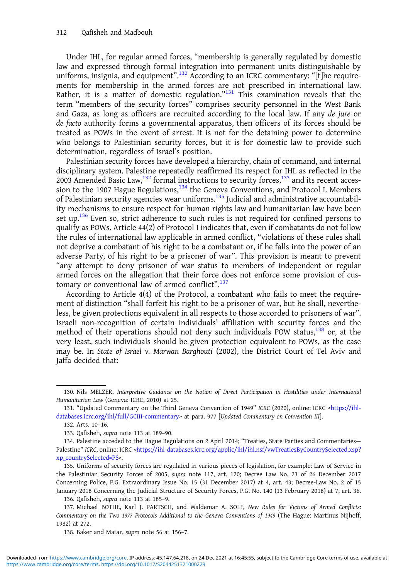Under IHL, for regular armed forces, "membership is generally regulated by domestic law and expressed through formal integration into permanent units distinguishable by uniforms, insignia, and equipment".<sup>130</sup> According to an ICRC commentary: "[t]he requirements for membership in the armed forces are not prescribed in international law. Rather, it is a matter of domestic regulation."<sup>131</sup> This examination reveals that the term "members of the security forces" comprises security personnel in the West Bank and Gaza, as long as officers are recruited according to the local law. If any de jure or de facto authority forms a governmental apparatus, then officers of its forces should be treated as POWs in the event of arrest. It is not for the detaining power to determine who belongs to Palestinian security forces, but it is for domestic law to provide such determination, regardless of Israel's position.

Palestinian security forces have developed a hierarchy, chain of command, and internal disciplinary system. Palestine repeatedly reaffirmed its respect for IHL as reflected in the 2003 Amended Basic Law, $^{132}$  formal instructions to security forces, $^{133}$  and its recent accession to the 1907 Hague Regulations,<sup>134</sup> the Geneva Conventions, and Protocol I. Members of Palestinian security agencies wear uniforms.<sup>135</sup> Judicial and administrative accountability mechanisms to ensure respect for human rights law and humanitarian law have been set up.<sup>136</sup> Even so, strict adherence to such rules is not required for confined persons to qualify as POWs. Article 44(2) of Protocol I indicates that, even if combatants do not follow the rules of international law applicable in armed conflict, "violations of these rules shall not deprive a combatant of his right to be a combatant or, if he falls into the power of an adverse Party, of his right to be a prisoner of war". This provision is meant to prevent "any attempt to deny prisoner of war status to members of independent or regular armed forces on the allegation that their force does not enforce some provision of customary or conventional law of armed conflict".<sup>137</sup>

According to Article 4(4) of the Protocol, a combatant who fails to meet the requirement of distinction "shall forfeit his right to be a prisoner of war, but he shall, nevertheless, be given protections equivalent in all respects to those accorded to prisoners of war". Israeli non-recognition of certain individuals' affiliation with security forces and the method of their operations should not deny such individuals POW status, $138$  or, at the very least, such individuals should be given protection equivalent to POWs, as the case may be. In State of Israel v. Marwan Barghouti (2002), the District Court of Tel Aviv and Jaffa decided that:

<sup>130.</sup> Nils MELZER, Interpretive Guidance on the Notion of Direct Participation in Hostilities under International Humanitarian Law (Geneva: ICRC, 2010) at 25.

<sup>131. &</sup>quot;Updated Commentary on the Third Geneva Convention of 1949" ICRC (2020), online: ICRC <[https://ihl](https://ihl-databases.icrc.org/ihl/full/GCIII-commentary)[databases.icrc.org/ihl/full/GCIII-commentary>](https://ihl-databases.icrc.org/ihl/full/GCIII-commentary) at para. 977 [Updated Commentary on Convention III].

<sup>132.</sup> Arts. 10–16.

<sup>133.</sup> Qafisheh, supra note 113 at 189–90.

<sup>134.</sup> Palestine acceded to the Hague Regulations on 2 April 2014; "Treaties, State Parties and Commentaries— Palestine" ICRC, online: ICRC [<https://ihl-databases.icrc.org/applic/ihl/ihl.nsf/vwTreatiesByCountrySelected.xsp?](https://ihl-databases.icrc.org/applic/ihl/ihl.nsf/vwTreatiesByCountrySelected.xsp?xp_countrySelected=PS) [xp\\_countrySelected=PS](https://ihl-databases.icrc.org/applic/ihl/ihl.nsf/vwTreatiesByCountrySelected.xsp?xp_countrySelected=PS)>.

<sup>135.</sup> Uniforms of security forces are regulated in various pieces of legislation, for example: Law of Service in the Palestinian Security Forces of 2005, supra note 117, art. 120; Decree Law No. 23 of 26 December 2017 Concerning Police, P.G. Extraordinary Issue No. 15 (31 December 2017) at 4, art. 43; Decree-Law No. 2 of 15 January 2018 Concerning the Judicial Structure of Security Forces, P.G. No. 140 (13 February 2018) at 7, art. 36. 136. Qafisheh, supra note 113 at 185–9.

<sup>137.</sup> Michael BOTHE, Karl J. PARTSCH, and Waldemar A. SOLF, New Rules for Victims of Armed Conflicts: Commentary on the Two 1977 Protocols Additional to the Geneva Conventions of 1949 (The Hague: Martinus Nijhoff, 1982) at 272.

<sup>138.</sup> Baker and Matar, supra note 56 at 156–7.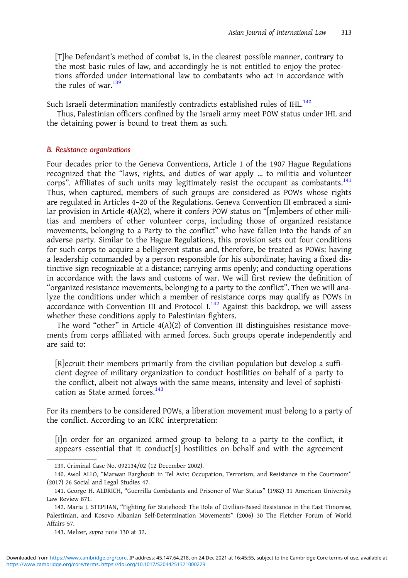[T]he Defendant's method of combat is, in the clearest possible manner, contrary to the most basic rules of law, and accordingly he is not entitled to enjoy the protections afforded under international law to combatants who act in accordance with the rules of war. $139$ 

Such Israeli determination manifestly contradicts established rules of IHL.<sup>140</sup>

Thus, Palestinian officers confined by the Israeli army meet POW status under IHL and the detaining power is bound to treat them as such.

#### B. Resistance organizations

Four decades prior to the Geneva Conventions, Article 1 of the 1907 Hague Regulations recognized that the "laws, rights, and duties of war apply … to militia and volunteer corps". Affiliates of such units may legitimately resist the occupant as combatants.<sup>141</sup> Thus, when captured, members of such groups are considered as POWs whose rights are regulated in Articles 4–20 of the Regulations. Geneva Convention III embraced a similar provision in Article 4(A)(2), where it confers POW status on "[m]embers of other militias and members of other volunteer corps, including those of organized resistance movements, belonging to a Party to the conflict" who have fallen into the hands of an adverse party. Similar to the Hague Regulations, this provision sets out four conditions for such corps to acquire a belligerent status and, therefore, be treated as POWs: having a leadership commanded by a person responsible for his subordinate; having a fixed distinctive sign recognizable at a distance; carrying arms openly; and conducting operations in accordance with the laws and customs of war. We will first review the definition of "organized resistance movements, belonging to a party to the conflict". Then we will analyze the conditions under which a member of resistance corps may qualify as POWs in accordance with Convention III and Protocol  $I<sup>142</sup>$  Against this backdrop, we will assess whether these conditions apply to Palestinian fighters.

The word "other" in Article 4(A)(2) of Convention III distinguishes resistance movements from corps affiliated with armed forces. Such groups operate independently and are said to:

[R]ecruit their members primarily from the civilian population but develop a sufficient degree of military organization to conduct hostilities on behalf of a party to the conflict, albeit not always with the same means, intensity and level of sophistication as State armed forces.<sup>143</sup>

For its members to be considered POWs, a liberation movement must belong to a party of the conflict. According to an ICRC interpretation:

[I]n order for an organized armed group to belong to a party to the conflict, it appears essential that it conduct[s] hostilities on behalf and with the agreement

<sup>139.</sup> Criminal Case No. 092134/02 (12 December 2002).

<sup>140.</sup> Awol ALLO, "Marwan Barghouti in Tel Aviv: Occupation, Terrorism, and Resistance in the Courtroom" (2017) 26 Social and Legal Studies 47.

<sup>141.</sup> George H. ALDRICH, "Guerrilla Combatants and Prisoner of War Status" (1982) 31 American University Law Review 871.

<sup>142.</sup> Maria J. STEPHAN, "Fighting for Statehood: The Role of Civilian-Based Resistance in the East Timorese, Palestinian, and Kosovo Albanian Self-Determination Movements" (2006) 30 The Fletcher Forum of World Affairs 57.

<sup>143.</sup> Melzer, supra note 130 at 32.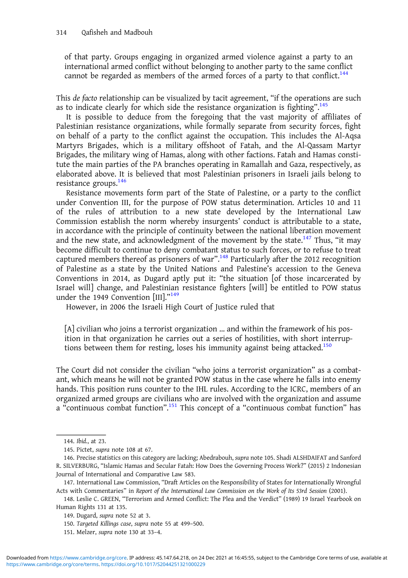of that party. Groups engaging in organized armed violence against a party to an international armed conflict without belonging to another party to the same conflict cannot be regarded as members of the armed forces of a party to that conflict.<sup>144</sup>

This de facto relationship can be visualized by tacit agreement, "if the operations are such as to indicate clearly for which side the resistance organization is fighting".<sup>145</sup>

It is possible to deduce from the foregoing that the vast majority of affiliates of Palestinian resistance organizations, while formally separate from security forces, fight on behalf of a party to the conflict against the occupation. This includes the Al-Aqsa Martyrs Brigades, which is a military offshoot of Fatah, and the Al-Qassam Martyr Brigades, the military wing of Hamas, along with other factions. Fatah and Hamas constitute the main parties of the PA branches operating in Ramallah and Gaza, respectively, as elaborated above. It is believed that most Palestinian prisoners in Israeli jails belong to resistance groups.146

Resistance movements form part of the State of Palestine, or a party to the conflict under Convention III, for the purpose of POW status determination. Articles 10 and 11 of the rules of attribution to a new state developed by the International Law Commission establish the norm whereby insurgents' conduct is attributable to a state, in accordance with the principle of continuity between the national liberation movement and the new state, and acknowledgment of the movement by the state.<sup>147</sup> Thus, "it may become difficult to continue to deny combatant status to such forces, or to refuse to treat captured members thereof as prisoners of war".<sup>148</sup> Particularly after the 2012 recognition of Palestine as a state by the United Nations and Palestine's accession to the Geneva Conventions in 2014, as Dugard aptly put it: "the situation [of those incarcerated by Israel will] change, and Palestinian resistance fighters [will] be entitled to POW status under the 1949 Convention [III]."<sup>149</sup>

However, in 2006 the Israeli High Court of Justice ruled that

[A] civilian who joins a terrorist organization … and within the framework of his position in that organization he carries out a series of hostilities, with short interruptions between them for resting, loses his immunity against being attacked.<sup>150</sup>

The Court did not consider the civilian "who joins a terrorist organization" as a combatant, which means he will not be granted POW status in the case where he falls into enemy hands. This position runs counter to the IHL rules. According to the ICRC, members of an organized armed groups are civilians who are involved with the organization and assume a "continuous combat function".<sup>151</sup> This concept of a "continuous combat function" has

<sup>144.</sup> Ibid., at 23.

<sup>145.</sup> Pictet, supra note 108 at 67.

<sup>146.</sup> Precise statistics on this category are lacking; Abedrabouh, supra note 105. Shadi ALSHDAIFAT and Sanford R. SILVERBURG, "Islamic Hamas and Secular Fatah: How Does the Governing Process Work?" (2015) 2 Indonesian Journal of International and Comparative Law 583.

<sup>147.</sup> International Law Commission, "Draft Articles on the Responsibility of States for Internationally Wrongful Acts with Commentaries" in Report of the International Law Commission on the Work of Its 53rd Session (2001).

<sup>148.</sup> Leslie C. GREEN, "Terrorism and Armed Conflict: The Plea and the Verdict" (1989) 19 Israel Yearbook on Human Rights 131 at 135.

<sup>149.</sup> Dugard, supra note 52 at 3.

<sup>150.</sup> Targeted Killings case, supra note 55 at 499–500.

<sup>151.</sup> Melzer, supra note 130 at 33–4.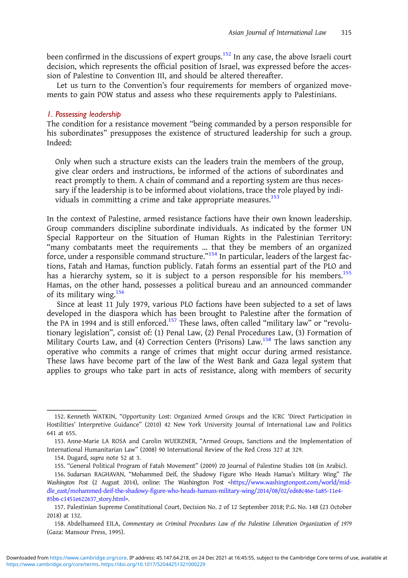been confirmed in the discussions of expert groups.<sup>152</sup> In any case, the above Israeli court decision, which represents the official position of Israel, was expressed before the accession of Palestine to Convention III, and should be altered thereafter.

Let us turn to the Convention's four requirements for members of organized movements to gain POW status and assess who these requirements apply to Palestinians.

#### 1. Possessing leadership

The condition for a resistance movement "being commanded by a person responsible for his subordinates" presupposes the existence of structured leadership for such a group. Indeed:

Only when such a structure exists can the leaders train the members of the group, give clear orders and instructions, be informed of the actions of subordinates and react promptly to them. A chain of command and a reporting system are thus necessary if the leadership is to be informed about violations, trace the role played by individuals in committing a crime and take appropriate measures.<sup>153</sup>

In the context of Palestine, armed resistance factions have their own known leadership. Group commanders discipline subordinate individuals. As indicated by the former UN Special Rapporteur on the Situation of Human Rights in the Palestinian Territory: "many combatants meet the requirements … that they be members of an organized force, under a responsible command structure."<sup>154</sup> In particular, leaders of the largest factions, Fatah and Hamas, function publicly. Fatah forms an essential part of the PLO and has a hierarchy system, so it is subject to a person responsible for his members.<sup>155</sup> Hamas, on the other hand, possesses a political bureau and an announced commander of its military wing.<sup>156</sup>

Since at least 11 July 1979, various PLO factions have been subjected to a set of laws developed in the diaspora which has been brought to Palestine after the formation of the PA in 1994 and is still enforced.<sup>157</sup> These laws, often called "military law" or "revolutionary legislation", consist of: (1) Penal Law, (2) Penal Procedures Law, (3) Formation of Military Courts Law, and (4) Correction Centers (Prisons) Law.<sup>158</sup> The laws sanction any operative who commits a range of crimes that might occur during armed resistance. These laws have become part of the law of the West Bank and Gaza legal system that applies to groups who take part in acts of resistance, along with members of security

<sup>152.</sup> Kenneth WATKIN, "Opportunity Lost: Organized Armed Groups and the ICRC 'Direct Participation in Hostilities' Interpretive Guidance" (2010) 42 New York University Journal of International Law and Politics 641 at 655.

<sup>153.</sup> Anne-Marie LA ROSA and Carolin WUERZNER, "Armed Groups, Sanctions and the Implementation of International Humanitarian Law" (2008) 90 International Review of the Red Cross 327 at 329.

<sup>154.</sup> Dugard, supra note 52 at 3.

<sup>155.</sup> "General Political Program of Fatah Movement" (2009) 20 Journal of Palestine Studies 108 (in Arabic).

<sup>156.</sup> Sudarsan RAGHAVAN, "Mohammed Deif, the Shadowy Figure Who Heads Hamas's Military Wing" The Washington Post (2 August 2014), online: The Washington Post [<https://www.washingtonpost.com/world/mid](https://www.washingtonpost.com/world/middle_east/mohammed-deif-the-shadowy-figure-who-heads-hamass-military-wing/2014/08/02/ed68c46e-1a85-11e4-85b6-c1451e622637_story.html)[dle\\_east/mohammed-deif-the-shadowy-figure-who-heads-hamass-military-wing/2014/08/02/ed68c46e-1a85-11e4-](https://www.washingtonpost.com/world/middle_east/mohammed-deif-the-shadowy-figure-who-heads-hamass-military-wing/2014/08/02/ed68c46e-1a85-11e4-85b6-c1451e622637_story.html) [85b6-c1451e622637\\_story.html](https://www.washingtonpost.com/world/middle_east/mohammed-deif-the-shadowy-figure-who-heads-hamass-military-wing/2014/08/02/ed68c46e-1a85-11e4-85b6-c1451e622637_story.html)>.

<sup>157.</sup> Palestinian Supreme Constitutional Court, Decision No. 2 of 12 September 2018; P.G. No. 148 (23 October 2018) at 132.

<sup>158.</sup> Abdelhameed EILA, Commentary on Criminal Procedures Law of the Palestine Liberation Organization of 1979 (Gaza: Mansour Press, 1995).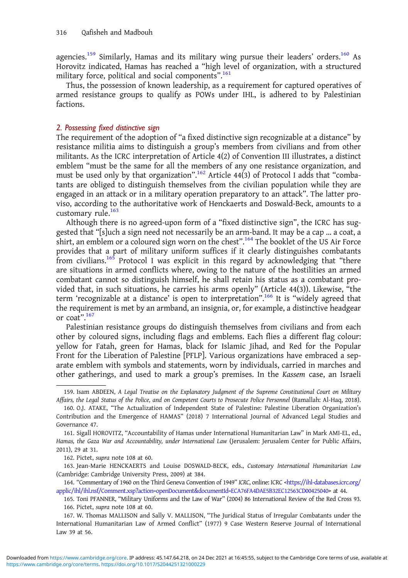agencies.<sup>159</sup> Similarly, Hamas and its military wing pursue their leaders' orders.<sup>160</sup> As Horovitz indicated, Hamas has reached a "high level of organization, with a structured military force, political and social components". 161

Thus, the possession of known leadership, as a requirement for captured operatives of armed resistance groups to qualify as POWs under IHL, is adhered to by Palestinian factions.

# 2. Possessing fixed distinctive sign

The requirement of the adoption of "a fixed distinctive sign recognizable at a distance" by resistance militia aims to distinguish a group's members from civilians and from other militants. As the ICRC interpretation of Article 4(2) of Convention III illustrates, a distinct emblem "must be the same for all the members of any one resistance organization, and must be used only by that organization".<sup>162</sup> Article 44(3) of Protocol I adds that "combatants are obliged to distinguish themselves from the civilian population while they are engaged in an attack or in a military operation preparatory to an attack". The latter proviso, according to the authoritative work of Henckaerts and Doswald-Beck, amounts to a customary rule.<sup>163</sup>

Although there is no agreed-upon form of a "fixed distinctive sign", the ICRC has suggested that "[s]uch a sign need not necessarily be an arm-band. It may be a cap … a coat, a shirt, an emblem or a coloured sign worn on the chest".<sup>164</sup> The booklet of the US Air Force provides that a part of military uniform suffices if it clearly distinguishes combatants from civilians.<sup>165</sup> Protocol I was explicit in this regard by acknowledging that "there are situations in armed conflicts where, owing to the nature of the hostilities an armed combatant cannot so distinguish himself, he shall retain his status as a combatant provided that, in such situations, he carries his arms openly" (Article 44(3)). Likewise, "the term 'recognizable at a distance' is open to interpretation".<sup>166</sup> It is "widely agreed that the requirement is met by an armband, an insignia, or, for example, a distinctive headgear or coat".<sup>167</sup>

Palestinian resistance groups do distinguish themselves from civilians and from each other by coloured signs, including flags and emblems. Each flies a different flag colour: yellow for Fatah, green for Hamas, black for Islamic Jihad, and Red for the Popular Front for the Liberation of Palestine [PFLP]. Various organizations have embraced a separate emblem with symbols and statements, worn by individuals, carried in marches and other gatherings, and used to mark a group's premises. In the Kassem case, an Israeli

<sup>159.</sup> Isam ABDEEN, A Legal Treatise on the Explanatory Judgment of the Supreme Constitutional Court on Military Affairs, the Legal Status of the Police, and on Competent Courts to Prosecute Police Personnel (Ramallah: Al-Haq, 2018).

<sup>160.</sup> O.J. ATAKE, "The Actualization of Independent State of Palestine: Palestine Liberation Organization's Contribution and the Emergence of HAMAS" (2018) 7 International Journal of Advanced Legal Studies and Governance 47.

<sup>161.</sup> Sigall HOROVITZ, "Accountability of Hamas under International Humanitarian Law" in Mark AMI-EL, ed., Hamas, the Gaza War and Accountability, under International Law (Jerusalem: Jerusalem Center for Public Affairs, 2011), 29 at 31.

<sup>162.</sup> Pictet, supra note 108 at 60.

<sup>163.</sup> Jean-Marie HENCKAERTS and Louise DOSWALD-BECK, eds., Customary International Humanitarian Law (Cambridge: Cambridge University Press, 2009) at 384.

<sup>164.</sup> "Commentary of 1960 on the Third Geneva Convention of 1949" ICRC, online: ICRC <[https://ihl-databases.icrc.org/](https://ihl-databases.icrc.org/applic/ihl/ihl.nsf/Comment.xsp?action=openDocument&documentId=ECA76FA4DAE5B32EC12563CD00425040) [applic/ihl/ihl.nsf/Comment.xsp?action=openDocument&documentId=ECA76FA4DAE5B32EC12563CD00425040](https://ihl-databases.icrc.org/applic/ihl/ihl.nsf/Comment.xsp?action=openDocument&documentId=ECA76FA4DAE5B32EC12563CD00425040)> at 44.

<sup>165.</sup> Toni PFANNER, "Military Uniforms and the Law of War" (2004) 86 International Review of the Red Cross 93.

<sup>166.</sup> Pictet, supra note 108 at 60.

<sup>167.</sup> W. Thomas MALLISON and Sally V. MALLISON, "The Juridical Status of Irregular Combatants under the International Humanitarian Law of Armed Conflict" (1977) 9 Case Western Reserve Journal of International Law 39 at 56.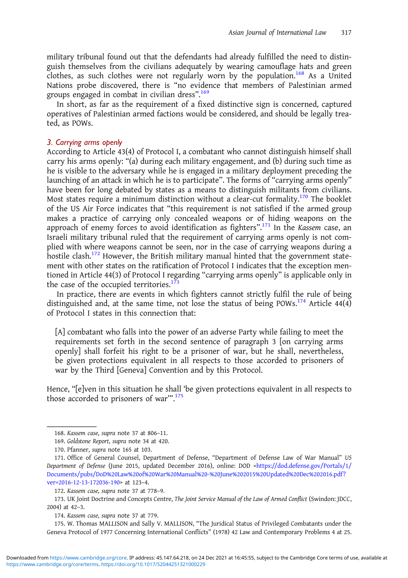military tribunal found out that the defendants had already fulfilled the need to distinguish themselves from the civilians adequately by wearing camouflage hats and green clothes, as such clothes were not regularly worn by the population.<sup>168</sup> As a United Nations probe discovered, there is "no evidence that members of Palestinian armed groups engaged in combat in civilian dress". 169

In short, as far as the requirement of a fixed distinctive sign is concerned, captured operatives of Palestinian armed factions would be considered, and should be legally treated, as POWs.

## 3. Carrying arms openly

According to Article 43(4) of Protocol I, a combatant who cannot distinguish himself shall carry his arms openly: "(a) during each military engagement, and (b) during such time as he is visible to the adversary while he is engaged in a military deployment preceding the launching of an attack in which he is to participate". The forms of "carrying arms openly" have been for long debated by states as a means to distinguish militants from civilians. Most states require a minimum distinction without a clear-cut formality.<sup>170</sup> The booklet of the US Air Force indicates that "this requirement is not satisfied if the armed group makes a practice of carrying only concealed weapons or of hiding weapons on the approach of enemy forces to avoid identification as fighters".<sup>171</sup> In the Kassem case, an Israeli military tribunal ruled that the requirement of carrying arms openly is not complied with where weapons cannot be seen, nor in the case of carrying weapons during a hostile clash.<sup>172</sup> However, the British military manual hinted that the government statement with other states on the ratification of Protocol I indicates that the exception mentioned in Article 44(3) of Protocol I regarding "carrying arms openly" is applicable only in the case of the occupied territories.<sup>1</sup>

In practice, there are events in which fighters cannot strictly fulfil the rule of being distinguished and, at the same time, not lose the status of being POWs.<sup>174</sup> Article 44(4) of Protocol I states in this connection that:

[A] combatant who falls into the power of an adverse Party while failing to meet the requirements set forth in the second sentence of paragraph 3 [on carrying arms openly] shall forfeit his right to be a prisoner of war, but he shall, nevertheless, be given protections equivalent in all respects to those accorded to prisoners of war by the Third [Geneva] Convention and by this Protocol.

Hence, "[e]ven in this situation he shall 'be given protections equivalent in all respects to those accorded to prisoners of war"".<sup>175</sup>

<sup>168.</sup> Kassem case, supra note 37 at 806–11.

<sup>169.</sup> Goldstone Report, supra note 34 at 420.

<sup>170.</sup> Pfanner, supra note 165 at 103.

<sup>171.</sup> Office of General Counsel, Department of Defense, "Department of Defense Law of War Manual" US Department of Defense (June 2015, updated December 2016), online: DOD [<https://dod.defense.gov/Portals/1/](https://dod.defense.gov/Portals/1/Documents/pubs/DoD%20Law%20of%20War%20Manual%20-%20June%202015%20Updated%20Dec%202016.pdf?ver=2016-12-13-172036-190) [Documents/pubs/DoD%20Law%20of%20War%20Manual%20-%20June%202015%20Updated%20Dec%202016.pdf?](https://dod.defense.gov/Portals/1/Documents/pubs/DoD%20Law%20of%20War%20Manual%20-%20June%202015%20Updated%20Dec%202016.pdf?ver=2016-12-13-172036-190) [ver=2016-12-13-172036-190>](https://dod.defense.gov/Portals/1/Documents/pubs/DoD%20Law%20of%20War%20Manual%20-%20June%202015%20Updated%20Dec%202016.pdf?ver=2016-12-13-172036-190) at 123–4.

<sup>172.</sup> Kassem case, supra note 37 at 778–9.

<sup>173.</sup> UK Joint Doctrine and Concepts Centre, The Joint Service Manual of the Law of Armed Conflict (Swindon: JDCC, 2004) at 42–3.

<sup>174.</sup> Kassem case, supra note 37 at 779.

<sup>175.</sup> W. Thomas MALLISON and Sally V. MALLISON, "The Juridical Status of Privileged Combatants under the Geneva Protocol of 1977 Concerning International Conflicts" (1978) 42 Law and Contemporary Problems 4 at 25.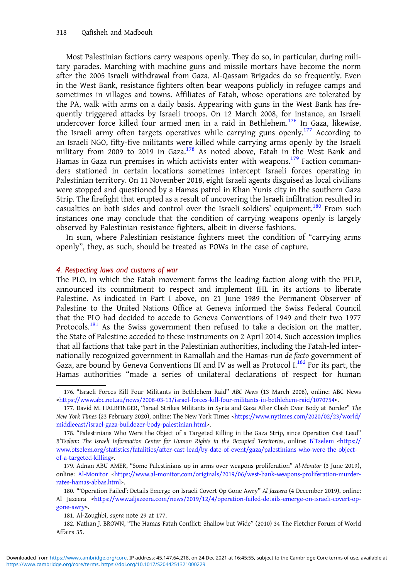Most Palestinian factions carry weapons openly. They do so, in particular, during military parades. Marching with machine guns and missile mortars have become the norm after the 2005 Israeli withdrawal from Gaza. Al-Qassam Brigades do so frequently. Even in the West Bank, resistance fighters often bear weapons publicly in refugee camps and sometimes in villages and towns. Affiliates of Fatah, whose operations are tolerated by the PA, walk with arms on a daily basis. Appearing with guns in the West Bank has frequently triggered attacks by Israeli troops. On 12 March 2008, for instance, an Israeli undercover force killed four armed men in a raid in Bethlehem.<sup>176</sup> In Gaza, likewise, the Israeli army often targets operatives while carrying guns openly.<sup>177</sup> According to an Israeli NGO, fifty-five militants were killed while carrying arms openly by the Israeli military from 2009 to 2019 in Gaza.<sup>178</sup> As noted above, Fatah in the West Bank and Hamas in Gaza run premises in which activists enter with weapons.<sup>179</sup> Faction commanders stationed in certain locations sometimes intercept Israeli forces operating in Palestinian territory. On 11 November 2018, eight Israeli agents disguised as local civilians were stopped and questioned by a Hamas patrol in Khan Yunis city in the southern Gaza Strip. The firefight that erupted as a result of uncovering the Israeli infiltration resulted in casualties on both sides and control over the Israeli soldiers' equipment.<sup>180</sup> From such instances one may conclude that the condition of carrying weapons openly is largely observed by Palestinian resistance fighters, albeit in diverse fashions.

In sum, where Palestinian resistance fighters meet the condition of "carrying arms openly", they, as such, should be treated as POWs in the case of capture.

## 4. Respecting laws and customs of war

The PLO, in which the Fatah movement forms the leading faction along with the PFLP, announced its commitment to respect and implement IHL in its actions to liberate Palestine. As indicated in Part I above, on 21 June 1989 the Permanent Observer of Palestine to the United Nations Office at Geneva informed the Swiss Federal Council that the PLO had decided to accede to Geneva Conventions of 1949 and their two 1977 Protocols.<sup>181</sup> As the Swiss government then refused to take a decision on the matter, the State of Palestine acceded to these instruments on 2 April 2014. Such accession implies that all factions that take part in the Palestinian authorities, including the Fatah-led internationally recognized government in Ramallah and the Hamas-run de facto government of Gaza, are bound by Geneva Conventions III and IV as well as Protocol I.<sup>182</sup> For its part, the Hamas authorities "made a series of unilateral declarations of respect for human

180. "'Operation Failed': Details Emerge on Israeli Covert Op Gone Awry" Al Jazeera (4 December 2019), online: Al Jazeera <[https://www.aljazeera.com/news/2019/12/4/operation-failed-details-emerge-on-israeli-covert-op](https://www.aljazeera.com/news/2019/12/4/operation-failed-details-emerge-on-israeli-covert-op-gone-awry)[gone-awry>](https://www.aljazeera.com/news/2019/12/4/operation-failed-details-emerge-on-israeli-covert-op-gone-awry).

<sup>176.</sup> "Israeli Forces Kill Four Militants in Bethlehem Raid" ABC News (13 March 2008), online: ABC News  $\text{-https://www.abc.net.au/news/2008-03-13/israel-forces-kill-four-militants-in-bethlehem-rad/1070754}$ .

<sup>177.</sup> David M. HALBFINGER, "Israel Strikes Militants in Syria and Gaza After Clash Over Body at Border" The New York Times (23 February 2020), online: The New York Times [<https://www.nytimes.com/2020/02/23/world/](https://www.nytimes.com/2020/02/23/world/middleeast/israel-gaza-bulldozer-body-palestinian.html) [middleeast/israel-gaza-bulldozer-body-palestinian.html>](https://www.nytimes.com/2020/02/23/world/middleeast/israel-gaza-bulldozer-body-palestinian.html).

<sup>178.</sup> "Palestinians Who Were the Object of a Targeted Killing in the Gaza Strip, since Operation Cast Lead" B'Tselem: The Israeli Information Center for Human Rights in the Occupied Territories, online: B'[Tselem](https://www.btselem.org/statistics/fatalities/after-cast-lead/by-date-of-event/gaza/palestinians-who-were-the-object-of-a-targeted-killing) [<https://](https://www.btselem.org/statistics/fatalities/after-cast-lead/by-date-of-event/gaza/palestinians-who-were-the-object-of-a-targeted-killing) [www.btselem.org/statistics/fatalities/after-cast-lead/by-date-of-event/gaza/palestinians-who-were-the-object](https://www.btselem.org/statistics/fatalities/after-cast-lead/by-date-of-event/gaza/palestinians-who-were-the-object-of-a-targeted-killing)[of-a-targeted-killing](https://www.btselem.org/statistics/fatalities/after-cast-lead/by-date-of-event/gaza/palestinians-who-were-the-object-of-a-targeted-killing)>.

<sup>179.</sup> Adnan ABU AMER, "Some Palestinians up in arms over weapons proliferation" Al-Monitor (3 June 2019), online: [Al-Monitor](https://www.al-monitor.com/pulse/originals/2019/06/west-bank-weapons-proliferation-murder-rates-hamas-abbas.html#ixzz6HsW6OA6E) [<https://www.al-monitor.com/originals/2019/06/west-bank-weapons-proliferation-murder](https://www.al-monitor.com/originals/2019/06/west-bank-weapons-proliferation-murder-rates-hamas-abbas.html)[rates-hamas-abbas.html](https://www.al-monitor.com/originals/2019/06/west-bank-weapons-proliferation-murder-rates-hamas-abbas.html)>.

<sup>181.</sup> Al-Zoughbi, supra note 29 at 177.

<sup>182.</sup> Nathan J. BROWN, "The Hamas-Fatah Conflict: Shallow but Wide" (2010) 34 The Fletcher Forum of World Affairs 35.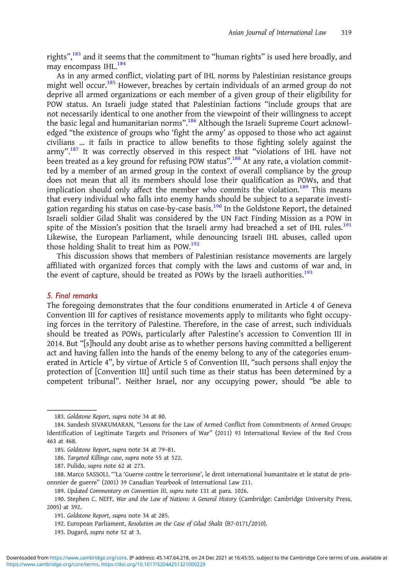rights",<sup>183</sup> and it seems that the commitment to "human rights" is used here broadly, and may encompass IHL.<sup>184</sup>

As in any armed conflict, violating part of IHL norms by Palestinian resistance groups might well occur.<sup>185</sup> However, breaches by certain individuals of an armed group do not deprive all armed organizations or each member of a given group of their eligibility for POW status. An Israeli judge stated that Palestinian factions "include groups that are not necessarily identical to one another from the viewpoint of their willingness to accept the basic legal and humanitarian norms".<sup>186</sup> Although the Israeli Supreme Court acknowledged "the existence of groups who 'fight the army' as opposed to those who act against civilians … it fails in practice to allow benefits to those fighting solely against the army".<sup>187</sup> It was correctly observed in this respect that "violations of IHL have not been treated as a key ground for refusing POW status".<sup>188</sup> At any rate, a violation committed by a member of an armed group in the context of overall compliance by the group does not mean that all its members should lose their qualification as POWs, and that implication should only affect the member who commits the violation.<sup>189</sup> This means that every individual who falls into enemy hands should be subject to a separate investigation regarding his status on case-by-case basis.<sup>190</sup> In the Goldstone Report, the detained Israeli soldier Gilad Shalit was considered by the UN Fact Finding Mission as a POW in spite of the Mission's position that the Israeli army had breached a set of IHL rules.<sup>191</sup> Likewise, the European Parliament, while denouncing Israeli IHL abuses, called upon those holding Shalit to treat him as POW.<sup>192</sup>

This discussion shows that members of Palestinian resistance movements are largely affiliated with organized forces that comply with the laws and customs of war and, in the event of capture, should be treated as POWs by the Israeli authorities.<sup>193</sup>

## 5. Final remarks

The foregoing demonstrates that the four conditions enumerated in Article 4 of Geneva Convention III for captives of resistance movements apply to militants who fight occupying forces in the territory of Palestine. Therefore, in the case of arrest, such individuals should be treated as POWs, particularly after Palestine's accession to Convention III in 2014. But "[s]hould any doubt arise as to whether persons having committed a belligerent act and having fallen into the hands of the enemy belong to any of the categories enumerated in Article 4", by virtue of Article 5 of Convention III, "such persons shall enjoy the protection of [Convention III] until such time as their status has been determined by a competent tribunal". Neither Israel, nor any occupying power, should "be able to

186. Targeted Killings case, supra note 55 at 522.

<sup>183.</sup> Goldstone Report, supra note 34 at 80.

<sup>184.</sup> Sandesh SIVAKUMARAN, "Lessons for the Law of Armed Conflict from Commitments of Armed Groups: Identification of Legitimate Targets and Prisoners of War" (2011) 93 International Review of the Red Cross 463 at 468.

<sup>185.</sup> Goldstone Report, supra note 34 at 79–81.

<sup>187.</sup> Pulido, supra note 62 at 273.

<sup>188.</sup> Marco SASSOLI, "'La 'Guerre contre le terrorisme', le droit international humanitaire et le statut de prisonnnier de guerre" (2001) 39 Canadian Yearbook of International Law 211.

<sup>189.</sup> Updated Commentary on Convention III, supra note 131 at para. 1026.

<sup>190.</sup> Stephen C. NEFF, War and the Law of Nations: A General History (Cambridge: Cambridge University Press, 2005) at 392.

<sup>191.</sup> Goldstone Report, supra note 34 at 285.

<sup>192.</sup> European Parliament, Resolution on the Case of Gilad Shalit (B7-0171/2010).

<sup>193.</sup> Dugard, supra note 52 at 3.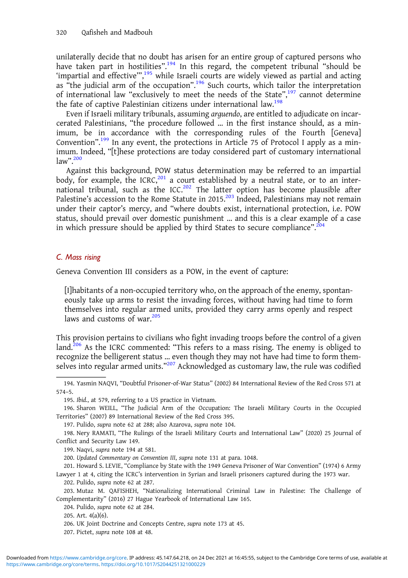unilaterally decide that no doubt has arisen for an entire group of captured persons who have taken part in hostilities".<sup>194</sup> In this regard, the competent tribunal "should be 'impartial and effective"',<sup>195</sup> while Israeli courts are widely viewed as partial and acting as "the judicial arm of the occupation".<sup>196</sup> Such courts, which tailor the interpretation of international law "exclusively to meet the needs of the State",<sup>197</sup> cannot determine the fate of captive Palestinian citizens under international law.<sup>198</sup>

Even if Israeli military tribunals, assuming arguendo, are entitled to adjudicate on incarcerated Palestinians, "the procedure followed … in the first instance should, as a minimum, be in accordance with the corresponding rules of the Fourth [Geneva] Convention".<sup>199</sup> In any event, the protections in Article 75 of Protocol I apply as a minimum. Indeed, "[t]hese protections are today considered part of customary international law". 200

Against this background, POW status determination may be referred to an impartial body, for example, the ICRC, $201$  a court established by a neutral state, or to an international tribunal, such as the ICC.<sup>202</sup> The latter option has become plausible after Palestine's accession to the Rome Statute in 2015.<sup>203</sup> Indeed, Palestinians may not remain under their captor's mercy, and "where doubts exist, international protection, i.e. POW status, should prevail over domestic punishment … and this is a clear example of a case in which pressure should be applied by third States to secure compliance". $^{204}$ 

#### C. Mass rising

Geneva Convention III considers as a POW, in the event of capture:

[I]habitants of a non-occupied territory who, on the approach of the enemy, spontaneously take up arms to resist the invading forces, without having had time to form themselves into regular armed units, provided they carry arms openly and respect laws and customs of war.<sup>205</sup>

This provision pertains to civilians who fight invading troops before the control of a given land.<sup>206</sup> As the ICRC commented: "This refers to a mass rising. The enemy is obliged to recognize the belligerent status … even though they may not have had time to form themselves into regular armed units." <sup>207</sup> Acknowledged as customary law, the rule was codified

199. Naqvi, supra note 194 at 581.

200. Updated Commentary on Convention III, supra note 131 at para. 1048.

201. Howard S. LEVIE, "Compliance by State with the 1949 Geneva Prisoner of War Convention" (1974) 6 Army Lawyer 1 at 4, citing the ICRC's intervention in Syrian and Israeli prisoners captured during the 1973 war.

<sup>194.</sup> Yasmin NAQVI, "Doubtful Prisoner-of-War Status" (2002) 84 International Review of the Red Cross 571 at 574–5.

<sup>195.</sup> Ibid., at 579, referring to a US practice in Vietnam.

<sup>196.</sup> Sharon WEILL, "The Judicial Arm of the Occupation: The Israeli Military Courts in the Occupied Territories" (2007) 89 International Review of the Red Cross 395.

<sup>197.</sup> Pulido, supra note 62 at 288; also Azarova, supra note 104.

<sup>198.</sup> Nery RAMATI, "The Rulings of the Israeli Military Courts and International Law" (2020) 25 Journal of Conflict and Security Law 149.

<sup>202.</sup> Pulido, supra note 62 at 287.

<sup>203.</sup> Mutaz M. QAFISHEH, "Nationalizing International Criminal Law in Palestine: The Challenge of Complementarity" (2016) 27 Hague Yearbook of International Law 165.

<sup>204.</sup> Pulido, supra note 62 at 284.

<sup>205.</sup> Art. 4(a)(6).

<sup>206.</sup> UK Joint Doctrine and Concepts Centre, supra note 173 at 45.

<sup>207.</sup> Pictet, supra note 108 at 48.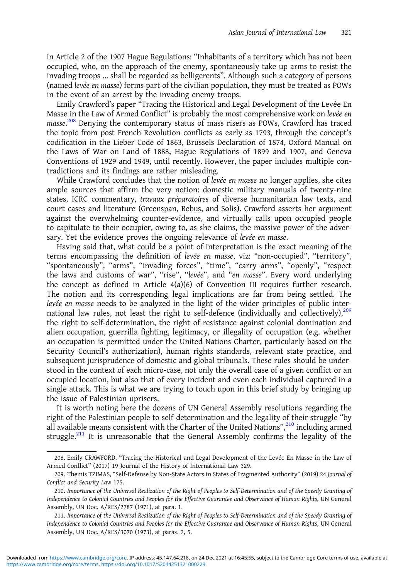in Article 2 of the 1907 Hague Regulations: "Inhabitants of a territory which has not been occupied, who, on the approach of the enemy, spontaneously take up arms to resist the invading troops … shall be regarded as belligerents". Although such a category of persons (named levée en masse) forms part of the civilian population, they must be treated as POWs in the event of an arrest by the invading enemy troops.

Emily Crawford's paper "Tracing the Historical and Legal Development of the Levée En Masse in the Law of Armed Conflict" is probably the most comprehensive work on levée en masse. <sup>208</sup> Denying the contemporary status of mass risers as POWs, Crawford has traced the topic from post French Revolution conflicts as early as 1793, through the concept's codification in the Lieber Code of 1863, Brussels Declaration of 1874, Oxford Manual on the Laws of War on Land of 1888, Hague Regulations of 1899 and 1907, and Geneva Conventions of 1929 and 1949, until recently. However, the paper includes multiple contradictions and its findings are rather misleading.

While Crawford concludes that the notion of levée en masse no longer applies, she cites ample sources that affirm the very notion: domestic military manuals of twenty-nine states, ICRC commentary, travaux préparatoires of diverse humanitarian law texts, and court cases and literature (Greenspan, Rebus, and Solis). Crawford asserts her argument against the overwhelming counter-evidence, and virtually calls upon occupied people to capitulate to their occupier, owing to, as she claims, the massive power of the adversary. Yet the evidence proves the ongoing relevance of levée en masse.

Having said that, what could be a point of interpretation is the exact meaning of the terms encompassing the definition of levée en masse, viz: "non-occupied", "territory", "spontaneously", "arms", "invading forces", "time", "carry arms", "openly", "respect the laws and customs of war", "rise", "levée", and "en masse". Every word underlying the concept as defined in Article  $4(a)(6)$  of Convention III requires further research. The notion and its corresponding legal implications are far from being settled. The levée en masse needs to be analyzed in the light of the wider principles of public international law rules, not least the right to self-defence (individually and collectively).<sup>209</sup> the right to self-determination, the right of resistance against colonial domination and alien occupation, guerrilla fighting, legitimacy, or illegality of occupation (e.g. whether an occupation is permitted under the United Nations Charter, particularly based on the Security Council's authorization), human rights standards, relevant state practice, and subsequent jurisprudence of domestic and global tribunals. These rules should be understood in the context of each micro-case, not only the overall case of a given conflict or an occupied location, but also that of every incident and even each individual captured in a single attack. This is what we are trying to touch upon in this brief study by bringing up the issue of Palestinian uprisers.

It is worth noting here the dozens of UN General Assembly resolutions regarding the right of the Palestinian people to self-determination and the legality of their struggle "by all available means consistent with the Charter of the United Nations",<sup>210</sup> including armed struggle.<sup>211</sup> It is unreasonable that the General Assembly confirms the legality of the

<sup>208.</sup> Emily CRAWFORD, "Tracing the Historical and Legal Development of the Levée En Masse in the Law of Armed Conflict" (2017) 19 Journal of the History of International Law 329.

<sup>209.</sup> Themis TZIMAS, "Self-Defense by Non-State Actors in States of Fragmented Authority" (2019) 24 Journal of Conflict and Security Law 175.

<sup>210.</sup> Importance of the Universal Realization of the Right of Peoples to Self-Determination and of the Speedy Granting of Independence to Colonial Countries and Peoples for the Effective Guarantee and Observance of Human Rights, UN General Assembly, UN Doc. A/RES/2787 (1971), at para. 1.

<sup>211.</sup> Importance of the Universal Realization of the Right of Peoples to Self-Determination and of the Speedy Granting of Independence to Colonial Countries and Peoples for the Effective Guarantee and Observance of Human Rights, UN General Assembly, UN Doc. A/RES/3070 (1973), at paras. 2, 5.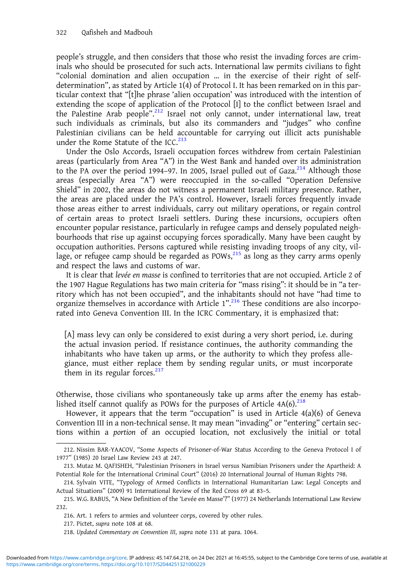people's struggle, and then considers that those who resist the invading forces are criminals who should be prosecuted for such acts. International law permits civilians to fight "colonial domination and alien occupation … in the exercise of their right of selfdetermination", as stated by Article 1(4) of Protocol I. It has been remarked on in this particular context that "[t]he phrase 'alien occupation' was introduced with the intention of extending the scope of application of the Protocol [I] to the conflict between Israel and the Palestine Arab people". <sup>212</sup> Israel not only cannot, under international law, treat such individuals as criminals, but also its commanders and "judges" who confine Palestinian civilians can be held accountable for carrying out illicit acts punishable under the Rome Statute of the ICC. $^{213}$ 

Under the Oslo Accords, Israeli occupation forces withdrew from certain Palestinian areas (particularly from Area "A") in the West Bank and handed over its administration to the PA over the period 1994-97. In 2005, Israel pulled out of Gaza.<sup>214</sup> Although those areas (especially Area "A") were reoccupied in the so-called "Operation Defensive Shield" in 2002, the areas do not witness a permanent Israeli military presence. Rather, the areas are placed under the PA's control. However, Israeli forces frequently invade those areas either to arrest individuals, carry out military operations, or regain control of certain areas to protect Israeli settlers. During these incursions, occupiers often encounter popular resistance, particularly in refugee camps and densely populated neighbourhoods that rise up against occupying forces sporadically. Many have been caught by occupation authorities. Persons captured while resisting invading troops of any city, village, or refugee camp should be regarded as  $POWs<sub>15</sub><sup>215</sup>$  as long as they carry arms openly and respect the laws and customs of war.

It is clear that levée en masse is confined to territories that are not occupied. Article 2 of the 1907 Hague Regulations has two main criteria for "mass rising": it should be in "a territory which has not been occupied", and the inhabitants should not have "had time to organize themselves in accordance with Article 1".<sup>216</sup> These conditions are also incorporated into Geneva Convention III. In the ICRC Commentary, it is emphasized that:

[A] mass levy can only be considered to exist during a very short period, i.e. during the actual invasion period. If resistance continues, the authority commanding the inhabitants who have taken up arms, or the authority to which they profess allegiance, must either replace them by sending regular units, or must incorporate them in its regular forces. $217$ 

Otherwise, those civilians who spontaneously take up arms after the enemy has established itself cannot qualify as POWs for the purposes of Article  $4A(6).^{218}$ 

However, it appears that the term "occupation" is used in Article  $4(a)(6)$  of Geneva Convention III in a non-technical sense. It may mean "invading" or "entering" certain sections within a portion of an occupied location, not exclusively the initial or total

<sup>212.</sup> Nissim BAR-YAACOV, "Some Aspects of Prisoner-of-War Status According to the Geneva Protocol I of 1977" (1985) 20 Israel Law Review 243 at 247.

<sup>213.</sup> Mutaz M. QAFISHEH, "Palestinian Prisoners in Israel versus Namibian Prisoners under the Apartheid: A Potential Role for the International Criminal Court" (2016) 20 International Journal of Human Rights 798.

<sup>214.</sup> Sylvain VITE, "Typology of Armed Conflicts in International Humanitarian Law: Legal Concepts and Actual Situations" (2009) 91 International Review of the Red Cross 69 at 83–5.

<sup>215.</sup> W.G. RABUS, "A New Definition of the 'Levée en Masse'?" (1977) 24 Netherlands International Law Review 232.

<sup>216.</sup> Art. 1 refers to armies and volunteer corps, covered by other rules.

<sup>217.</sup> Pictet, supra note 108 at 68.

<sup>218.</sup> Updated Commentary on Convention III, supra note 131 at para. 1064.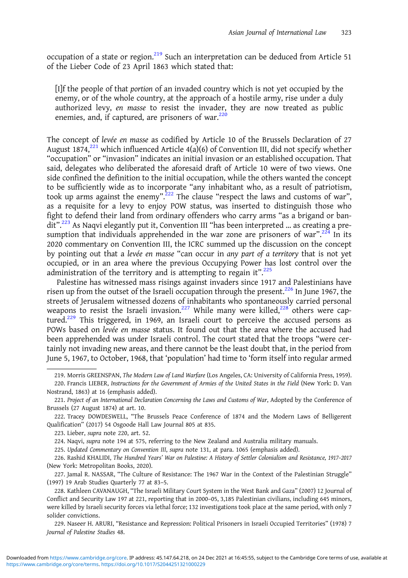occupation of a state or region.<sup>219</sup> Such an interpretation can be deduced from Article 51 of the Lieber Code of 23 April 1863 which stated that:

[I]f the people of that portion of an invaded country which is not yet occupied by the enemy, or of the whole country, at the approach of a hostile army, rise under a duly authorized levy, en masse to resist the invader, they are now treated as public enemies, and, if captured, are prisoners of war. $220$ 

The concept of levée en masse as codified by Article 10 of the Brussels Declaration of 27 August 1874,<sup>221</sup> which influenced Article  $4(a)(6)$  of Convention III, did not specify whether "occupation" or "invasion" indicates an initial invasion or an established occupation. That said, delegates who deliberated the aforesaid draft of Article 10 were of two views. One side confined the definition to the initial occupation, while the others wanted the concept to be sufficiently wide as to incorporate "any inhabitant who, as a result of patriotism, took up arms against the enemy". $^{222}$  The clause "respect the laws and customs of war", as a requisite for a levy to enjoy POW status, was inserted to distinguish those who fight to defend their land from ordinary offenders who carry arms "as a brigand or bandit".<sup>223</sup> As Naqvi elegantly put it, Convention III "has been interpreted ... as creating a presumption that individuals apprehended in the war zone are prisoners of war". $224$  In its 2020 commentary on Convention III, the ICRC summed up the discussion on the concept by pointing out that a levée en masse "can occur in any part of a territory that is not yet occupied, or in an area where the previous Occupying Power has lost control over the administration of the territory and is attempting to regain it".<sup>225</sup>

Palestine has witnessed mass risings against invaders since 1917 and Palestinians have risen up from the outset of the Israeli occupation through the present.<sup>226</sup> In June 1967, the streets of Jerusalem witnessed dozens of inhabitants who spontaneously carried personal weapons to resist the Israeli invasion.<sup>227</sup> While many were killed,<sup>228</sup> others were captured.<sup>229</sup> This triggered, in 1969, an Israeli court to perceive the accused persons as POWs based on levée en masse status. It found out that the area where the accused had been apprehended was under Israeli control. The court stated that the troops "were certainly not invading new areas, and there cannot be the least doubt that, in the period from June 5, 1967, to October, 1968, that 'population' had time to 'form itself into regular armed

224. Naqvi, supra note 194 at 575, referring to the New Zealand and Australia military manuals.

225. Updated Commentary on Convention III, supra note 131, at para. 1065 (emphasis added).

226. Rashid KHALIDI, The Hundred Years' War on Palestine: A History of Settler Colonialism and Resistance, 1917–2017 (New York: Metropolitan Books, 2020).

227. Jamal R. NASSAR, "The Culture of Resistance: The 1967 War in the Context of the Palestinian Struggle" (1997) 19 Arab Studies Quarterly 77 at 83–5.

229. Naseer H. ARURI, "Resistance and Repression: Political Prisoners in Israeli Occupied Territories" (1978) 7 Journal of Palestine Studies 48.

<sup>219.</sup> Morris GREENSPAN, The Modern Law of Land Warfare (Los Angeles, CA: University of California Press, 1959).

<sup>220.</sup> Francis LIEBER, Instructions for the Government of Armies of the United States in the Field (New York: D. Van Nostrand, 1863) at 16 (emphasis added).

<sup>221.</sup> Project of an International Declaration Concerning the Laws and Customs of War, Adopted by the Conference of Brussels (27 August 1874) at art. 10.

<sup>222.</sup> Tracey DOWDESWELL, "The Brussels Peace Conference of 1874 and the Modern Laws of Belligerent Qualification" (2017) 54 Osgoode Hall Law Journal 805 at 835.

<sup>223.</sup> Lieber, supra note 220, art. 52.

<sup>228.</sup> Kathleen CAVANAUGH, "The Israeli Military Court System in the West Bank and Gaza" (2007) 12 Journal of Conflict and Security Law 197 at 221, reporting that in 2000–05, 3,185 Palestinian civilians, including 645 minors, were killed by Israeli security forces via lethal force; 132 investigations took place at the same period, with only 7 solider convictions.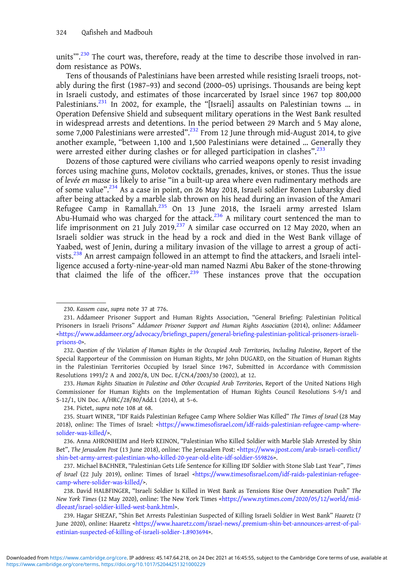units'".<sup>230</sup> The court was, therefore, ready at the time to describe those involved in random resistance as POWs.

Tens of thousands of Palestinians have been arrested while resisting Israeli troops, notably during the first (1987–93) and second (2000–05) uprisings. Thousands are being kept in Israeli custody, and estimates of those incarcerated by Israel since 1967 top 800,000 Palestinians.<sup>231</sup> In 2002, for example, the "[Israeli] assaults on Palestinian towns ... in Operation Defensive Shield and subsequent military operations in the West Bank resulted in widespread arrests and detentions. In the period between 29 March and 5 May alone, some 7,000 Palestinians were arrested".<sup>232</sup> From 12 June through mid-August 2014, to give another example, "between 1,100 and 1,500 Palestinians were detained … Generally they were arrested either during clashes or for alleged participation in clashes".<sup>233</sup>

Dozens of those captured were civilians who carried weapons openly to resist invading forces using machine guns, Molotov cocktails, grenades, knives, or stones. Thus the issue of levée en masse is likely to arise "in a built-up area where even rudimentary methods are of some value".<sup>234</sup> As a case in point, on 26 May 2018, Israeli soldier Ronen Lubarsky died after being attacked by a marble slab thrown on his head during an invasion of the Amari Refugee Camp in Ramallah.<sup>235</sup> On 13 June 2018, the Israeli army arrested Islam Abu-Humaid who was charged for the attack.<sup>236</sup> A military court sentenced the man to life imprisonment on 21 July 2019.<sup>237</sup> A similar case occurred on 12 May 2020, when an Israeli soldier was struck in the head by a rock and died in the West Bank village of Yaabed, west of Jenin, during a military invasion of the village to arrest a group of activists.<sup>238</sup> An arrest campaign followed in an attempt to find the attackers, and Israeli intelligence accused a forty-nine-year-old man named Nazmi Abu Baker of the stone-throwing that claimed the life of the officer.<sup>239</sup> These instances prove that the occupation

<sup>230.</sup> Kassem case, supra note 37 at 776.

<sup>231.</sup> Addameer Prisoner Support and Human Rights Association, "General Briefing: Palestinian Political Prisoners in Israeli Prisons" Addameer Prisoner Support and Human Rights Association (2014), online: Addameer <[https://www.addameer.org/advocacy/briefings\\_papers/general-briefing-palestinian-political-prisoners-israeli](https://www.addameer.org/advocacy/briefings_papers/general-briefing-palestinian-political-prisoners-israeli-prisons-0)[prisons-0](https://www.addameer.org/advocacy/briefings_papers/general-briefing-palestinian-political-prisoners-israeli-prisons-0)>.

<sup>232.</sup> Question of the Violation of Human Rights in the Occupied Arab Territories, Including Palestine, Report of the Special Rapporteur of the Commission on Human Rights, Mr John DUGARD, on the Situation of Human Rights in the Palestinian Territories Occupied by Israel Since 1967, Submitted in Accordance with Commission Resolutions 1993/2 A and 2002/8, UN Doc. E/CN.4/2003/30 (2002), at 12.

<sup>233.</sup> Human Rights Situation in Palestine and Other Occupied Arab Territories, Report of the United Nations High Commissioner for Human Rights on the Implementation of Human Rights Council Resolutions S-9/1 and S-12/1, UN Doc. A/HRC/28/80/Add.1 (2014), at 5–6.

<sup>234.</sup> Pictet, supra note 108 at 68.

<sup>235.</sup> Stuart WINER, "IDF Raids Palestinian Refugee Camp Where Soldier Was Killed" The Times of Israel (28 May 2018), online: The Times of Israel: [<https://www.timesofisrael.com/idf-raids-palestinian-refugee-camp-where](https://www.timesofisrael.com/idf-raids-palestinian-refugee-camp-where-solider-was-killed/)[solider-was-killed/](https://www.timesofisrael.com/idf-raids-palestinian-refugee-camp-where-solider-was-killed/)>.

<sup>236.</sup> Anna AHRONHEIM and Herb KEINON, "Palestinian Who Killed Soldier with Marble Slab Arrested by Shin Bet", The Jerusalem Post (13 June 2018), online: The Jerusalem Post: <[https://www.jpost.com/arab-israeli-conflict/](https://www.jpost.com/arab-israeli-conflict/shin-bet-army-arrest-palestinian-who-killed-20-year-old-elite-idf-soldier-559826) [shin-bet-army-arrest-palestinian-who-killed-20-year-old-elite-idf-soldier-559826](https://www.jpost.com/arab-israeli-conflict/shin-bet-army-arrest-palestinian-who-killed-20-year-old-elite-idf-soldier-559826)>.

<sup>237.</sup> Michael BACHNER, "Palestinian Gets Life Sentence for Killing IDF Soldier with Stone Slab Last Year", Times of Israel (22 July 2019), online: Times of Israel <[https://www.timesofisrael.com/idf-raids-palestinian-refugee](https://www.timesofisrael.com/idf-raids-palestinian-refugee-camp-where-solider-was-killed/)[camp-where-solider-was-killed/>](https://www.timesofisrael.com/idf-raids-palestinian-refugee-camp-where-solider-was-killed/).

<sup>238.</sup> David HALBFINGER, "Israeli Soldier Is Killed in West Bank as Tensions Rise Over Annexation Push" The New York Times (12 May 2020), online: The New York Times [<https://www.nytimes.com/2020/05/12/world/mid](https://www.nytimes.com/2020/05/12/world/middleeast/israel-soldier-killed-west-bank.html)[dleeast/israel-soldier-killed-west-bank.html](https://www.nytimes.com/2020/05/12/world/middleeast/israel-soldier-killed-west-bank.html)>.

<sup>239.</sup> Hagar SHEZAF, "Shin Bet Arrests Palestinian Suspected of Killing Israeli Soldier in West Bank" Haaretz (7 June 2020), online: Haaretz <[https://www.haaretz.com/israel-news/.premium-shin-bet-announces-arrest-of-pal](https://www.haaretz.com/israel-news/.premium-shin-bet-announces-arrest-of-palestinian-suspected-of-killing-of-israeli-soldier-1.8903694)[estinian-suspected-of-killing-of-israeli-soldier-1.8903694>](https://www.haaretz.com/israel-news/.premium-shin-bet-announces-arrest-of-palestinian-suspected-of-killing-of-israeli-soldier-1.8903694).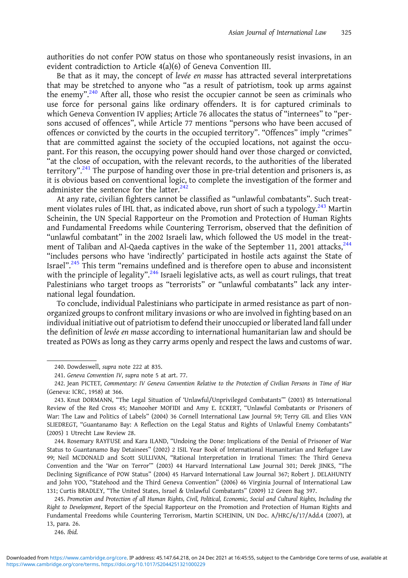authorities do not confer POW status on those who spontaneously resist invasions, in an evident contradiction to Article 4(a)(6) of Geneva Convention III.

Be that as it may, the concept of levée en masse has attracted several interpretations that may be stretched to anyone who "as a result of patriotism, took up arms against the enemy".<sup>240</sup> After all, those who resist the occupier cannot be seen as criminals who use force for personal gains like ordinary offenders. It is for captured criminals to which Geneva Convention IV applies; Article 76 allocates the status of "internees" to "persons accused of offences", while Article 77 mentions "persons who have been accused of offences or convicted by the courts in the occupied territory". "Offences" imply "crimes" that are committed against the society of the occupied locations, not against the occupant. For this reason, the occupying power should hand over those charged or convicted, "at the close of occupation, with the relevant records, to the authorities of the liberated territory".<sup>241</sup> The purpose of handing over those in pre-trial detention and prisoners is, as it is obvious based on conventional logic, to complete the investigation of the former and administer the sentence for the latter. $242$ 

At any rate, civilian fighters cannot be classified as "unlawful combatants". Such treatment violates rules of IHL that, as indicated above, run short of such a typology.<sup>243</sup> Martin Scheinin, the UN Special Rapporteur on the Promotion and Protection of Human Rights and Fundamental Freedoms while Countering Terrorism, observed that the definition of "unlawful combatant" in the 2002 Israeli law, which followed the US model in the treatment of Taliban and Al-Qaeda captives in the wake of the September 11, 2001 attacks, $^{244}$ "includes persons who have 'indirectly' participated in hostile acts against the State of Israel".<sup>245</sup> This term "remains undefined and is therefore open to abuse and inconsistent with the principle of legality".<sup>246</sup> Israeli legislative acts, as well as court rulings, that treat Palestinians who target troops as "terrorists" or "unlawful combatants" lack any international legal foundation.

To conclude, individual Palestinians who participate in armed resistance as part of nonorganized groups to confront military invasions or who are involved in fighting based on an individual initiative out of patriotism to defend their unoccupied or liberated land fall under the definition of levée en masse according to international humanitarian law and should be treated as POWs as long as they carry arms openly and respect the laws and customs of war.

244. Rosemary RAYFUSE and Kara ILAND, "Undoing the Done: Implications of the Denial of Prisoner of War Status to Guantanamo Bay Detainees" (2002) 2 ISIL Year Book of International Humanitarian and Refugee Law 99; Neil MCDONALD and Scott SULLIVAN, "Rational Interpretation in Irrational Times: The Third Geneva Convention and the 'War on Terror'" (2003) 44 Harvard International Law Journal 301; Derek JINKS, "The Declining Significance of POW Status" (2004) 45 Harvard International Law Journal 367; Robert J. DELAHUNTY and John YOO, "Statehood and the Third Geneva Convention" (2006) 46 Virginia Journal of International Law 131; Curtis BRADLEY, "The United States, Israel & Unlawful Combatants" (2009) 12 Green Bag 397.

245. Promotion and Protection of all Human Rights, Civil, Political, Economic, Social and Cultural Rights, Including the Right to Development, Report of the Special Rapporteur on the Promotion and Protection of Human Rights and Fundamental Freedoms while Countering Terrorism, Martin SCHEININ, UN Doc. A/HRC/6/17/Add.4 (2007), at 13, para. 26.

246. Ibid.

<sup>240.</sup> Dowdeswell, supra note 222 at 835.

<sup>241.</sup> Geneva Convention IV, supra note 5 at art. 77.

<sup>242.</sup> Jean PICTET, Commentary: IV Geneva Convention Relative to the Protection of Civilian Persons in Time of War (Geneva: ICRC, 1958) at 366.

<sup>243.</sup> Knut DORMANN, "The Legal Situation of 'Unlawful/Unprivileged Combatants'" (2003) 85 International Review of the Red Cross 45; Manooher MOFIDI and Amy E. ECKERT, "Unlawful Combatants or Prisoners of War: The Law and Politics of Labels" (2004) 36 Cornell International Law Journal 59; Terry GIL and Elies VAN SLIEDREGT, "Guantanamo Bay: A Reflection on the Legal Status and Rights of Unlawful Enemy Combatants" (2005) 1 Utrecht Law Review 28.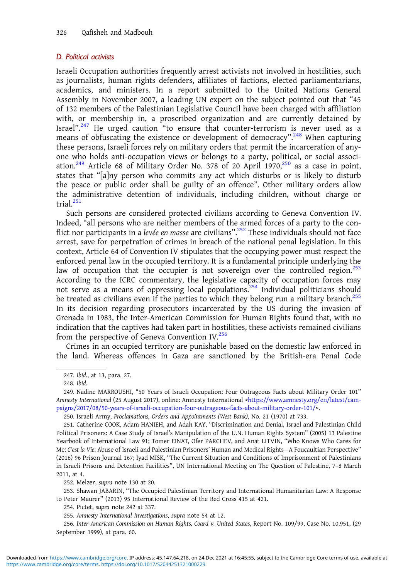## D. Political activists

Israeli Occupation authorities frequently arrest activists not involved in hostilities, such as journalists, human rights defenders, affiliates of factions, elected parliamentarians, academics, and ministers. In a report submitted to the United Nations General Assembly in November 2007, a leading UN expert on the subject pointed out that "45 of 132 members of the Palestinian Legislative Council have been charged with affiliation with, or membership in, a proscribed organization and are currently detained by Israel".<sup>247</sup> He urged caution "to ensure that counter-terrorism is never used as a means of obfuscating the existence or development of democracy".<sup>248</sup> When capturing these persons, Israeli forces rely on military orders that permit the incarceration of anyone who holds anti-occupation views or belongs to a party, political, or social association.<sup>249</sup> Article 68 of Military Order No. 378 of 20 April 1970,<sup>250</sup> as a case in point, states that "[a]ny person who commits any act which disturbs or is likely to disturb the peace or public order shall be guilty of an offence". Other military orders allow the administrative detention of individuals, including children, without charge or trial<sup>251</sup>

Such persons are considered protected civilians according to Geneva Convention IV. Indeed, "all persons who are neither members of the armed forces of a party to the conflict nor participants in a levée en masse are civilians".<sup>252</sup> These individuals should not face arrest, save for perpetration of crimes in breach of the national penal legislation. In this context, Article 64 of Convention IV stipulates that the occupying power must respect the enforced penal law in the occupied territory. It is a fundamental principle underlying the law of occupation that the occupier is not sovereign over the controlled region.<sup>253</sup> According to the ICRC commentary, the legislative capacity of occupation forces may not serve as a means of oppressing local populations.<sup>254</sup> Individual politicians should be treated as civilians even if the parties to which they belong run a military branch. $^{255}$ In its decision regarding prosecutors incarcerated by the US during the invasion of Grenada in 1983, the Inter-American Commission for Human Rights found that, with no indication that the captives had taken part in hostilities, these activists remained civilians from the perspective of Geneva Convention IV.<sup>256</sup>

Crimes in an occupied territory are punishable based on the domestic law enforced in the land. Whereas offences in Gaza are sanctioned by the British-era Penal Code

252. Melzer, supra note 130 at 20.

253. Shawan JABARIN, "The Occupied Palestinian Territory and International Humanitarian Law: A Response to Peter Maurer" (2013) 95 International Review of the Red Cross 415 at 421.

254. Pictet, supra note 242 at 337.

<sup>247.</sup> Ibid., at 13, para. 27.

<sup>248.</sup> Ibid.

<sup>249.</sup> Nadine MARROUSHI, "50 Years of Israeli Occupation: Four Outrageous Facts about Military Order 101" Amnesty International (25 August 2017), online: Amnesty International <[https://www.amnesty.org/en/latest/cam](https://www.amnesty.org/en/latest/campaigns/2017/08/50-years-of-israeli-occupation-four-outrageous-facts-about-military-order-101/)[paigns/2017/08/50-years-of-israeli-occupation-four-outrageous-facts-about-military-order-101/>](https://www.amnesty.org/en/latest/campaigns/2017/08/50-years-of-israeli-occupation-four-outrageous-facts-about-military-order-101/).

<sup>250.</sup> Israeli Army, Proclamations, Orders and Appointments (West Bank), No. 21 (1970) at 733.

<sup>251.</sup> Catherine COOK, Adam HANIEH, and Adah KAY, "Discrimination and Denial, Israel and Palestinian Child Political Prisoners: A Case Study of Israel's Manipulation of the U.N. Human Rights System" (2005) 13 Palestine Yearbook of International Law 91; Tomer EINAT, Ofer PARCHEV, and Anat LITVIN, "Who Knows Who Cares for Me: C'est la Vie: Abuse of Israeli and Palestinian Prisoners' Human and Medical Rights—A Foucaultian Perspective" (2016) 96 Prison Journal 167; Iyad MISK, "The Current Situation and Conditions of Imprisonment of Palestinians in Israeli Prisons and Detention Facilities", UN International Meeting on The Question of Palestine, 7–8 March 2011, at 4.

<sup>255.</sup> Amnesty International Investigations, supra note 54 at 12.

<sup>256.</sup> Inter-American Commission on Human Rights, Coard v. United States, Report No. 109/99, Case No. 10.951, (29 September 1999), at para. 60.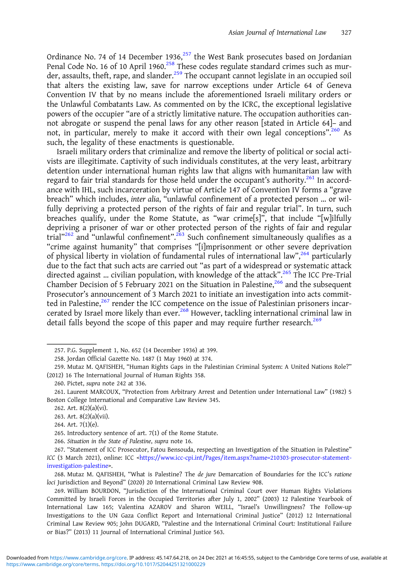Ordinance No. 74 of 14 December 1936, $257$  the West Bank prosecutes based on Jordanian Penal Code No. 16 of 10 April 1960.<sup>258</sup> These codes regulate standard crimes such as murder, assaults, theft, rape, and slander.<sup>259</sup> The occupant cannot legislate in an occupied soil that alters the existing law, save for narrow exceptions under Article 64 of Geneva Convention IV that by no means include the aforementioned Israeli military orders or the Unlawful Combatants Law. As commented on by the ICRC, the exceptional legislative powers of the occupier "are of a strictly limitative nature. The occupation authorities cannot abrogate or suspend the penal laws for any other reason [stated in Article 64]– and not, in particular, merely to make it accord with their own legal conceptions". <sup>260</sup> As such, the legality of these enactments is questionable.

Israeli military orders that criminalize and remove the liberty of political or social activists are illegitimate. Captivity of such individuals constitutes, at the very least, arbitrary detention under international human rights law that aligns with humanitarian law with regard to fair trial standards for those held under the occupant's authority.<sup>261</sup> In accordance with IHL, such incarceration by virtue of Article 147 of Convention IV forms a "grave breach" which includes, inter alia, "unlawful confinement of a protected person … or wilfully depriving a protected person of the rights of fair and regular trial". In turn, such breaches qualify, under the Rome Statute, as "war crime[s]", that include "[w]ilfully depriving a prisoner of war or other protected person of the rights of fair and regular trial"<sup>262</sup> and "unlawful confinement".<sup>263</sup> Such confinement simultaneously qualifies as a "crime against humanity" that comprises "[i]mprisonment or other severe deprivation of physical liberty in violation of fundamental rules of international law",<sup>264</sup> particularly due to the fact that such acts are carried out "as part of a widespread or systematic attack directed against … civilian population, with knowledge of the attack". <sup>265</sup> The ICC Pre-Trial Chamber Decision of 5 February 2021 on the Situation in Palestine, $266$  and the subsequent Prosecutor's announcement of 3 March 2021 to initiate an investigation into acts committed in Palestine, $267$  render the ICC competence on the issue of Palestinian prisoners incarcerated by Israel more likely than ever.<sup>268</sup> However, tackling international criminal law in detail falls beyond the scope of this paper and may require further research.<sup>269</sup>

<sup>257.</sup> P.G. Supplement 1, No. 652 (14 December 1936) at 399.

<sup>258.</sup> Jordan Official Gazette No. 1487 (1 May 1960) at 374.

<sup>259.</sup> Mutaz M. QAFISHEH, "Human Rights Gaps in the Palestinian Criminal System: A United Nations Role?" (2012) 16 The International Journal of Human Rights 358.

<sup>260.</sup> Pictet, supra note 242 at 336.

<sup>261.</sup> Laurent MARCOUX, "Protection from Arbitrary Arrest and Detention under International Law" (1982) 5 Boston College International and Comparative Law Review 345.

<sup>262.</sup> Art. 8(2)(a)(vi).

<sup>263.</sup> Art. 8(2)(a)(vii).

<sup>264.</sup> Art. 7(1)(e).

<sup>265.</sup> Introductory sentence of art. 7(1) of the Rome Statute.

<sup>266.</sup> Situation in the State of Palestine, supra note 16.

<sup>267.</sup> "Statement of ICC Prosecutor, Fatou Bensouda, respecting an Investigation of the Situation in Palestine" ICC (3 March 2021), online: ICC <[https://www.icc-cpi.int/Pages/item.aspx?name=210303-prosecutor-statement](https://www.icc-cpi.int/Pages/item.aspx?name=210303-prosecutor-statement-investigation-palestine)[investigation-palestine>](https://www.icc-cpi.int/Pages/item.aspx?name=210303-prosecutor-statement-investigation-palestine).

<sup>268.</sup> Mutaz M. QAFISHEH, "What is Palestine? The de jure Demarcation of Boundaries for the ICC's ratione loci Jurisdiction and Beyond" (2020) 20 International Criminal Law Review 908.

<sup>269.</sup> William BOURDON, "Jurisdiction of the International Criminal Court over Human Rights Violations Committed by Israeli Forces in the Occupied Territories after July 1, 2002" (2003) 12 Palestine Yearbook of International Law 165; Valentina AZAROV and Sharon WEILL, "Israel's Unwillingness? The Follow-up Investigations to the UN Gaza Conflict Report and International Criminal Justice" (2012) 12 International Criminal Law Review 905; John DUGARD, "Palestine and the International Criminal Court: Institutional Failure or Bias?" (2013) 11 Journal of International Criminal Justice 563.